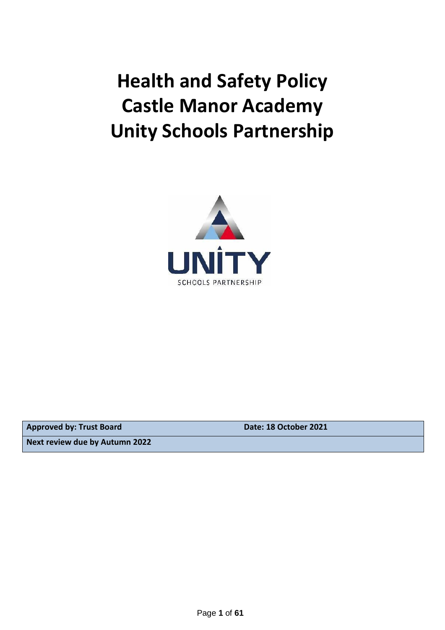# **Health and Safety Policy Castle Manor Academy Unity Schools Partnership**



**Approved by: Trust Board Date: 18 October 2021**

**Next review due by Autumn 2022**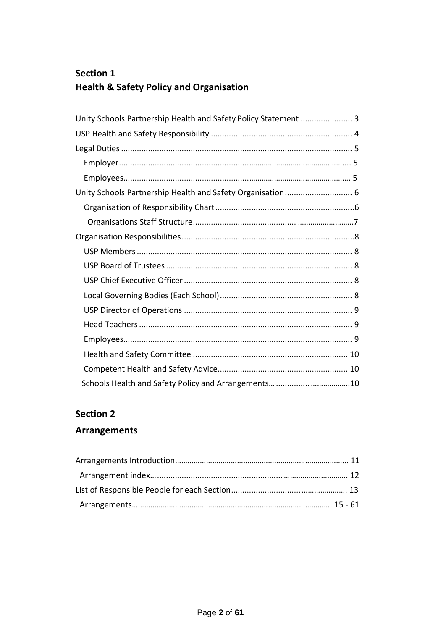# **Section 1 Health & Safety Policy and Organisation**

| Unity Schools Partnership Health and Safety Policy Statement  3 |
|-----------------------------------------------------------------|
|                                                                 |
|                                                                 |
|                                                                 |
|                                                                 |
| Unity Schools Partnership Health and Safety Organisation 6      |
|                                                                 |
|                                                                 |
|                                                                 |
|                                                                 |
|                                                                 |
|                                                                 |
|                                                                 |
|                                                                 |
|                                                                 |
|                                                                 |
|                                                                 |
|                                                                 |
|                                                                 |

# **Section 2**

# **Arrangements**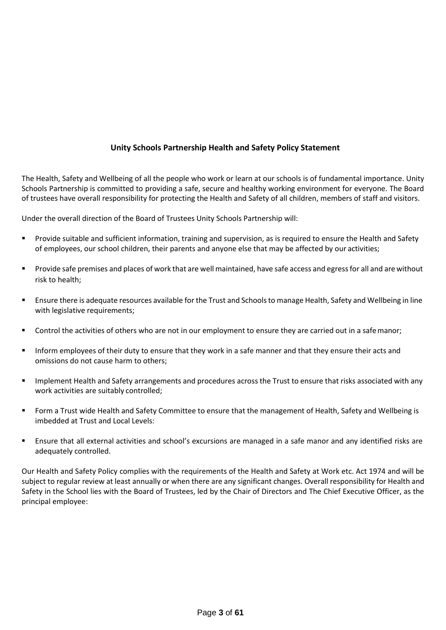# **Unity Schools Partnership Health and Safety Policy Statement**

<span id="page-2-0"></span>The Health, Safety and Wellbeing of all the people who work or learn at our schools is of fundamental importance. Unity Schools Partnership is committed to providing a safe, secure and healthy working environment for everyone. The Board of trustees have overall responsibility for protecting the Health and Safety of all children, members of staff and visitors.

Under the overall direction of the Board of Trustees Unity Schools Partnership will:

- Provide suitable and sufficient information, training and supervision, as is required to ensure the Health and Safety of employees, our school children, their parents and anyone else that may be affected by our activities;
- **•** Provide safe premises and places of work that are well maintained, have safe access and egress for all and are without risk to health;
- Ensure there is adequate resources available for the Trust and Schools to manage Health, Safety and Wellbeing in line with legislative requirements;
- Control the activities of others who are not in our employment to ensure they are carried out in a safemanor;
- **■** Inform employees of their duty to ensure that they work in a safe manner and that they ensure their acts and omissions do not cause harm to others;
- Implement Health and Safety arrangements and procedures across the Trust to ensure that risks associated with any work activities are suitably controlled;
- Form a Trust wide Health and Safety Committee to ensure that the management of Health, Safety and Wellbeing is imbedded at Trust and Local Levels:
- **E** Ensure that all external activities and school's excursions are managed in a safe manor and any identified risks are adequately controlled.

Our Health and Safety Policy complies with the requirements of the Health and Safety at Work etc. Act 1974 and will be subject to regular review at least annually or when there are any significant changes. Overall responsibility for Health and Safety in the School lies with the Board of Trustees, led by the Chair of Directors and The Chief Executive Officer, as the principal employee: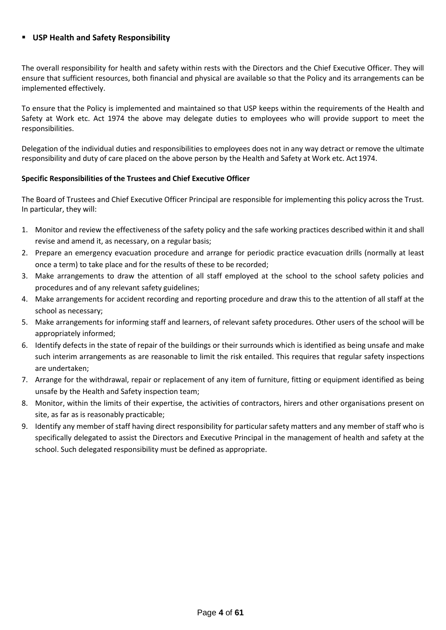#### <span id="page-3-0"></span>▪ **USP Health and Safety Responsibility**

The overall responsibility for health and safety within rests with the Directors and the Chief Executive Officer. They will ensure that sufficient resources, both financial and physical are available so that the Policy and its arrangements can be implemented effectively.

To ensure that the Policy is implemented and maintained so that USP keeps within the requirements of the Health and Safety at Work etc. Act 1974 the above may delegate duties to employees who will provide support to meet the responsibilities.

Delegation of the individual duties and responsibilities to employees does not in any way detract or remove the ultimate responsibility and duty of care placed on the above person by the Health and Safety at Work etc. Act1974.

#### **Specific Responsibilities of the Trustees and Chief Executive Officer**

The Board of Trustees and Chief Executive Officer Principal are responsible for implementing this policy across the Trust. In particular, they will:

- 1. Monitor and review the effectiveness of the safety policy and the safe working practices described within it and shall revise and amend it, as necessary, on a regular basis;
- 2. Prepare an emergency evacuation procedure and arrange for periodic practice evacuation drills (normally at least once a term) to take place and for the results of these to be recorded;
- 3. Make arrangements to draw the attention of all staff employed at the school to the school safety policies and procedures and of any relevant safety guidelines;
- 4. Make arrangements for accident recording and reporting procedure and draw this to the attention of all staff at the school as necessary;
- 5. Make arrangements for informing staff and learners, of relevant safety procedures. Other users of the school will be appropriately informed;
- 6. Identify defects in the state of repair of the buildings or their surrounds which is identified as being unsafe and make such interim arrangements as are reasonable to limit the risk entailed. This requires that regular safety inspections are undertaken;
- 7. Arrange for the withdrawal, repair or replacement of any item of furniture, fitting or equipment identified as being unsafe by the Health and Safety inspection team;
- 8. Monitor, within the limits of their expertise, the activities of contractors, hirers and other organisations present on site, as far as is reasonably practicable;
- 9. Identify any member of staff having direct responsibility for particularsafety matters and any member of staff who is specifically delegated to assist the Directors and Executive Principal in the management of health and safety at the school. Such delegated responsibility must be defined as appropriate.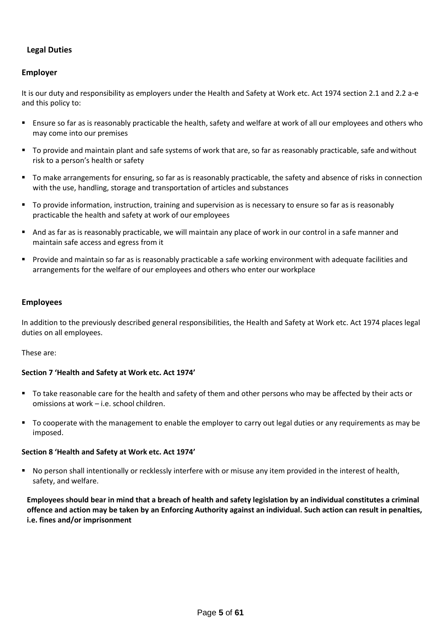# **Legal Duties**

#### **Employer**

It is our duty and responsibility as employers under the Health and Safety at Work etc. Act 1974 section 2.1 and 2.2 a-e and this policy to:

- Ensure so far as is reasonably practicable the health, safety and welfare at work of all our employees and others who may come into our premises
- To provide and maintain plant and safe systems of work that are, so far as reasonably practicable, safe and without risk to a person's health or safety
- To make arrangements for ensuring, so far as is reasonably practicable, the safety and absence of risks in connection with the use, handling, storage and transportation of articles and substances
- To provide information, instruction, training and supervision as is necessary to ensure so far as is reasonably practicable the health and safety at work of our employees
- And as far as is reasonably practicable, we will maintain any place of work in our control in a safe manner and maintain safe access and egress from it
- Provide and maintain so far as is reasonably practicable a safe working environment with adequate facilities and arrangements for the welfare of our employees and others who enter our workplace

#### **Employees**

In addition to the previously described general responsibilities, the Health and Safety at Work etc. Act 1974 places legal duties on all employees.

These are:

#### **Section 7 'Health and Safety at Work etc. Act 1974'**

- To take reasonable care for the health and safety of them and other persons who may be affected by their acts or omissions at work – i.e. school children.
- To cooperate with the management to enable the employer to carry out legal duties or any requirements as may be imposed.

#### **Section 8 'Health and Safety at Work etc. Act 1974'**

▪ No person shall intentionally or recklessly interfere with or misuse any item provided in the interest of health, safety, and welfare.

**Employees should bear in mind that a breach of health and safety legislation by an individual constitutes a criminal offence and action may be taken by an Enforcing Authority against an individual. Such action can result in penalties, i.e. fines and/or imprisonment**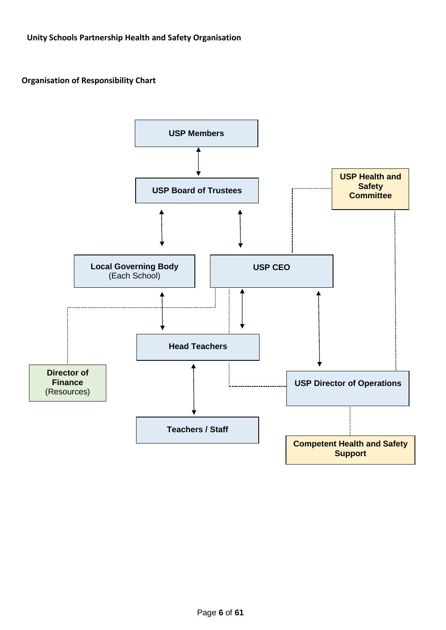# <span id="page-5-1"></span><span id="page-5-0"></span>**Organisation of Responsibility Chart**

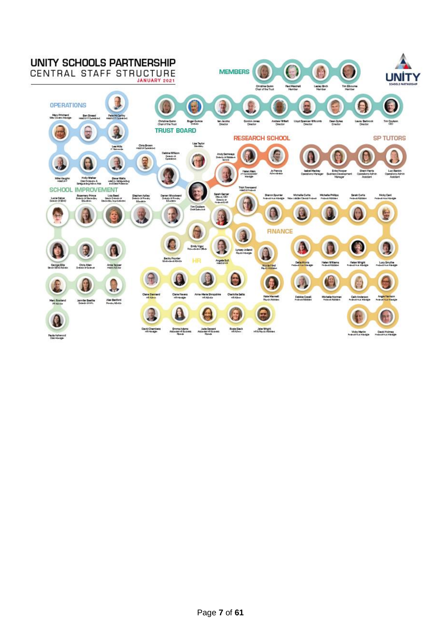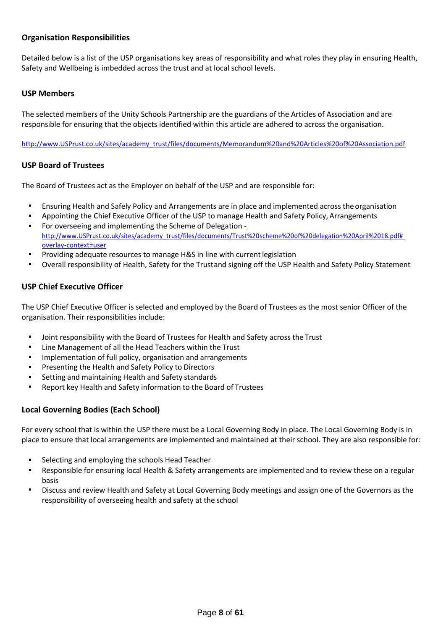#### <span id="page-7-0"></span>**Organisation Responsibilities**

Detailed below is a list of the USP organisations key areas of responsibility and what roles they play in ensuring Health, Safety and Wellbeing is imbedded across the trust and at local school levels.

#### <span id="page-7-1"></span>**USP Members**

The selected members of the Unity Schools Partnership are the guardians of the Articles of Association and are responsible for ensuring that the objects identified within this article are adhered to across the organisation.

[http://www.USPrust.co.uk/sites/academy\\_trust/files/documents/Memorandum%20and%20Articles%20of%20Association.pdf](http://www.swatrust.co.uk/sites/academy_trust/files/documents/Memorandum%20and%20Articles%20of%20Association.pdf)

#### <span id="page-7-2"></span>**USP Board of Trustees**

The Board of Trustees act as the Employer on behalf of the USP and are responsible for:

- Ensuring Health and Safely Policy and Arrangements are in place and implemented across the organisation
- Appointing the Chief Executive Officer of the USP to manage Health and Safety Policy, Arrangements
- For overseeing and implementing the Scheme of Delegation  [http://www.USPrust.co.uk/sites/academy\\_trust/files/documents/Trust%20scheme%20of%20delegation%20April%2018.pdf#](http://www.swatrust.co.uk/sites/academy_trust/files/documents/Trust%20scheme%20of%20delegation%20April%2018.pdf#overlay-context%3Duser) [overlay-context=user](http://www.swatrust.co.uk/sites/academy_trust/files/documents/Trust%20scheme%20of%20delegation%20April%2018.pdf#overlay-context%3Duser)
- Providing adequate resources to manage H&S in line with current legislation
- Overall responsibility of Health, Safety for the Trustand signing off the USP Health and Safety Policy Statement

#### <span id="page-7-3"></span>**USP Chief Executive Officer**

The USP Chief Executive Officer is selected and employed by the Board of Trustees as the most senior Officer of the organisation. Their responsibilities include:

- **■** Joint responsibility with the Board of Trustees for Health and Safety across the Trust
- Line Management of all the Head Teachers within the Trust
- Implementation of full policy, organisation and arrangements
- Presenting the Health and Safety Policy to Directors
- Setting and maintaining Health and Safety standards
- Report key Health and Safety information to the Board of Trustees

#### <span id="page-7-4"></span>**Local Governing Bodies (Each School)**

For every school that is within the USP there must be a Local Governing Body in place. The Local Governing Body is in place to ensure that local arrangements are implemented and maintained at their school. They are also responsible for:

- Selecting and employing the schools Head Teacher
- Responsible for ensuring local Health & Safety arrangements are implemented and to review these on a regular basis
- Discuss and review Health and Safety at Local Governing Body meetings and assign one of the Governors as the responsibility of overseeing health and safety at the school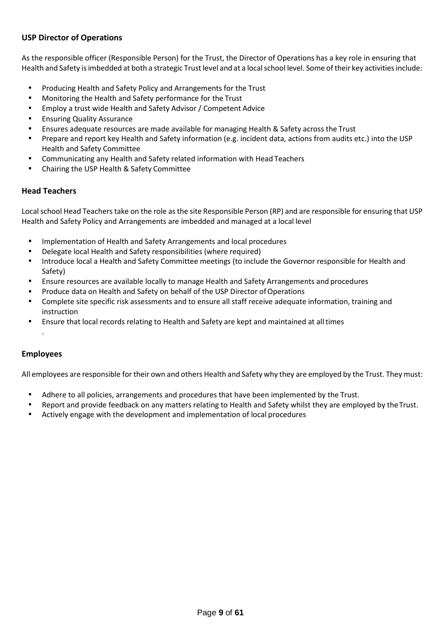#### <span id="page-8-0"></span>**USP Director of Operations**

As the responsible officer (Responsible Person) for the Trust, the Director of Operations has a key role in ensuring that Health and Safety is imbedded at both a strategic Trust level and at a local school level. Some of their key activities include:

- Producing Health and Safety Policy and Arrangements for the Trust
- Monitoring the Health and Safety performance for the Trust
- Employ a trust wide Health and Safety Advisor / Competent Advice
- **Ensuring Quality Assurance**
- Ensures adequate resources are made available for managing Health & Safety across the Trust
- Prepare and report key Health and Safety information (e.g. incident data, actions from audits etc.) into the USP Health and Safety Committee
- **EXEDENT Communicating any Health and Safety related information with Head Teachers**
- Chairing the USP Health & Safety Committee

#### <span id="page-8-1"></span>**Head Teachers**

Local school Head Teachers take on the role as the site Responsible Person (RP) and are responsible for ensuring that USP Health and Safety Policy and Arrangements are imbedded and managed at a local level

- Implementation of Health and Safety Arrangements and local procedures
- Delegate local Health and Safety responsibilities (where required)
- Introduce local a Health and Safety Committee meetings (to include the Governor responsible for Health and Safety)
- Ensure resources are available locally to manage Health and Safety Arrangements and procedures
- **Produce data on Health and Safety on behalf of the USP Director of Operations**
- Complete site specific risk assessments and to ensure all staff receive adequate information, training and instruction
- Ensure that local records relating to Health and Safety are kept and maintained at all times

#### <span id="page-8-2"></span>**Employees**

.

All employees are responsible for their own and others Health and Safety why they are employed by the Trust. They must:

- **•** Adhere to all policies, arrangements and procedures that have been implemented by the Trust.
- Report and provide feedback on any matters relating to Health and Safety whilst they are employed by theTrust.
- Actively engage with the development and implementation of local procedures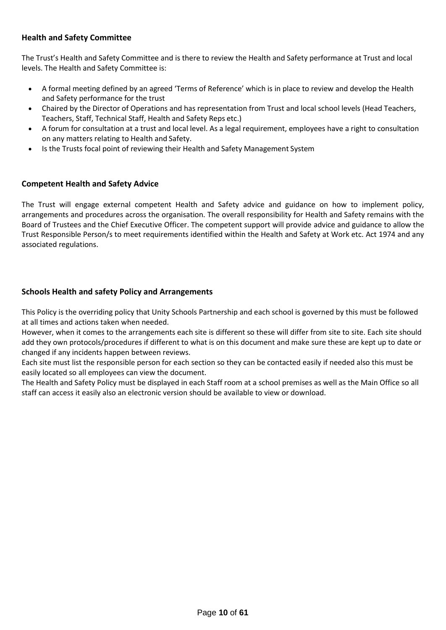# <span id="page-9-0"></span>**Health and Safety Committee**

The Trust's Health and Safety Committee and is there to review the Health and Safety performance at Trust and local levels. The Health and Safety Committee is:

- A formal meeting defined by an agreed 'Terms of Reference' which is in place to review and develop the Health and Safety performance for the trust
- Chaired by the Director of Operations and has representation from Trust and local school levels (Head Teachers, Teachers, Staff, Technical Staff, Health and Safety Reps etc.)
- A forum for consultation at a trust and local level. As a legal requirement, employees have a right to consultation on any matters relating to Health and Safety.
- Is the Trusts focal point of reviewing their Health and Safety Management System

#### <span id="page-9-1"></span>**Competent Health and Safety Advice**

The Trust will engage external competent Health and Safety advice and guidance on how to implement policy, arrangements and procedures across the organisation. The overall responsibility for Health and Safety remains with the Board of Trustees and the Chief Executive Officer. The competent support will provide advice and guidance to allow the Trust Responsible Person/s to meet requirements identified within the Health and Safety at Work etc. Act 1974 and any associated regulations.

## <span id="page-9-2"></span>**Schools Health and safety Policy and Arrangements**

This Policy is the overriding policy that Unity Schools Partnership and each school is governed by this must be followed at all times and actions taken when needed.

However, when it comes to the arrangements each site is different so these will differ from site to site. Each site should add they own protocols/procedures if different to what is on this document and make sure these are kept up to date or changed if any incidents happen between reviews.

Each site must list the responsible person for each section so they can be contacted easily if needed also this must be easily located so all employees can view the document.

The Health and Safety Policy must be displayed in each Staff room at a school premises as well as the Main Office so all staff can access it easily also an electronic version should be available to view or download.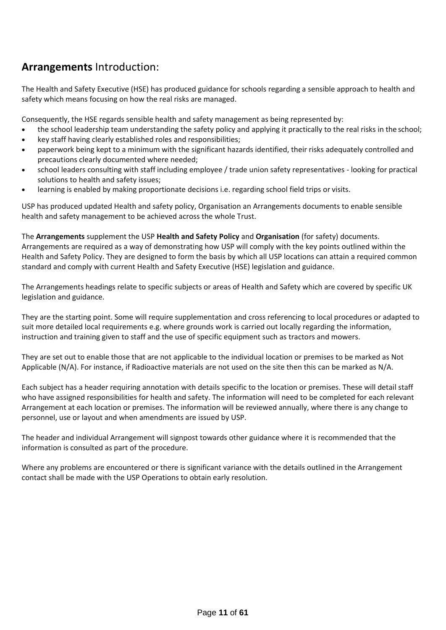# **Arrangements** Introduction:

The Health and Safety Executive (HSE) has produced guidance for schools regarding a sensible approach to health and safety which means focusing on how the real risks are managed.

Consequently, the HSE regards sensible health and safety management as being represented by:

- the school leadership team understanding the safety policy and applying it practically to the real risks in the school;
- key staff having clearly established roles and responsibilities;
- paperwork being kept to a minimum with the significant hazards identified, their risks adequately controlled and precautions clearly documented where needed;
- school leaders consulting with staff including employee / trade union safety representatives looking for practical solutions to health and safety issues;
- learning is enabled by making proportionate decisions i.e. regarding school field trips or visits.

USP has produced updated Health and safety policy, Organisation an Arrangements documents to enable sensible health and safety management to be achieved across the whole Trust.

The **Arrangements** supplement the USP **Health and Safety Policy** and **Organisation** (for safety) documents. Arrangements are required as a way of demonstrating how USP will comply with the key points outlined within the Health and Safety Policy. They are designed to form the basis by which all USP locations can attain a required common standard and comply with current Health and Safety Executive (HSE) legislation and guidance.

The Arrangements headings relate to specific subjects or areas of Health and Safety which are covered by specific UK legislation and guidance.

They are the starting point. Some will require supplementation and cross referencing to local procedures or adapted to suit more detailed local requirements e.g. where grounds work is carried out locally regarding the information, instruction and training given to staff and the use of specific equipment such as tractors and mowers.

They are set out to enable those that are not applicable to the individual location or premises to be marked as Not Applicable (N/A). For instance, if Radioactive materials are not used on the site then this can be marked as N/A.

Each subject has a header requiring annotation with details specific to the location or premises. These will detail staff who have assigned responsibilities for health and safety. The information will need to be completed for each relevant Arrangement at each location or premises. The information will be reviewed annually, where there is any change to personnel, use or layout and when amendments are issued by USP.

The header and individual Arrangement will signpost towards other guidance where it is recommended that the information is consulted as part of the procedure.

Where any problems are encountered or there is significant variance with the details outlined in the Arrangement contact shall be made with the USP Operations to obtain early resolution.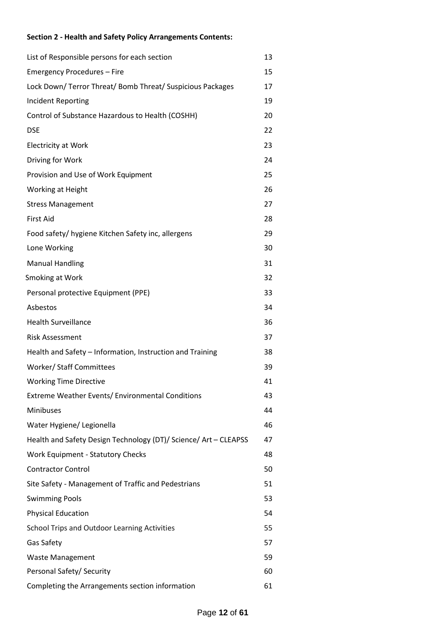# **Section 2 - Health and Safety Policy Arrangements Contents:**

| List of Responsible persons for each section                     | 13 |
|------------------------------------------------------------------|----|
| Emergency Procedures - Fire                                      | 15 |
| Lock Down/ Terror Threat/ Bomb Threat/ Suspicious Packages       | 17 |
| <b>Incident Reporting</b>                                        | 19 |
| Control of Substance Hazardous to Health (COSHH)                 | 20 |
| <b>DSE</b>                                                       | 22 |
| <b>Electricity at Work</b>                                       | 23 |
| Driving for Work                                                 | 24 |
| Provision and Use of Work Equipment                              | 25 |
| Working at Height                                                | 26 |
| <b>Stress Management</b>                                         | 27 |
| <b>First Aid</b>                                                 | 28 |
| Food safety/ hygiene Kitchen Safety inc, allergens               | 29 |
| Lone Working                                                     | 30 |
| <b>Manual Handling</b>                                           | 31 |
| Smoking at Work                                                  | 32 |
| Personal protective Equipment (PPE)                              | 33 |
| Asbestos                                                         | 34 |
| <b>Health Surveillance</b>                                       | 36 |
| <b>Risk Assessment</b>                                           | 37 |
| Health and Safety - Information, Instruction and Training        | 38 |
| <b>Worker/Staff Committees</b>                                   | 39 |
| <b>Working Time Directive</b>                                    | 41 |
| Extreme Weather Events/ Environmental Conditions                 | 43 |
| Minibuses                                                        | 44 |
| Water Hygiene/ Legionella                                        | 46 |
| Health and Safety Design Technology (DT)/ Science/ Art - CLEAPSS | 47 |
| <b>Work Equipment - Statutory Checks</b>                         | 48 |
| <b>Contractor Control</b>                                        | 50 |
| Site Safety - Management of Traffic and Pedestrians              | 51 |
| <b>Swimming Pools</b>                                            | 53 |
| <b>Physical Education</b>                                        | 54 |
| School Trips and Outdoor Learning Activities                     | 55 |
| Gas Safety                                                       | 57 |
| <b>Waste Management</b>                                          | 59 |
| Personal Safety/ Security                                        | 60 |
| Completing the Arrangements section information                  | 61 |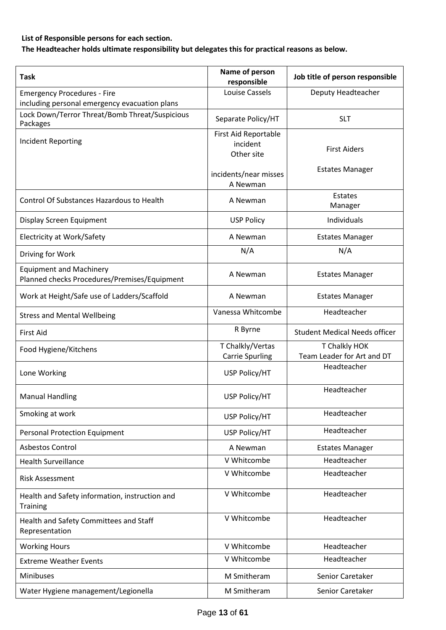# **List of Responsible persons for each section.**

**The Headteacher holds ultimate responsibility but delegates this for practical reasons as below.** 

| <b>Task</b>                                                                         | Name of person<br>responsible                  | Job title of person responsible             |
|-------------------------------------------------------------------------------------|------------------------------------------------|---------------------------------------------|
| <b>Emergency Procedures - Fire</b><br>including personal emergency evacuation plans | Louise Cassels                                 | Deputy Headteacher                          |
| Lock Down/Terror Threat/Bomb Threat/Suspicious<br>Packages                          | Separate Policy/HT                             | <b>SLT</b>                                  |
| Incident Reporting                                                                  | First Aid Reportable<br>incident<br>Other site | <b>First Aiders</b>                         |
|                                                                                     | incidents/near misses<br>A Newman              | <b>Estates Manager</b>                      |
| Control Of Substances Hazardous to Health                                           | A Newman                                       | Estates<br>Manager                          |
| Display Screen Equipment                                                            | <b>USP Policy</b>                              | Individuals                                 |
| Electricity at Work/Safety                                                          | A Newman                                       | <b>Estates Manager</b>                      |
| Driving for Work                                                                    | N/A                                            | N/A                                         |
| <b>Equipment and Machinery</b><br>Planned checks Procedures/Premises/Equipment      | A Newman                                       | <b>Estates Manager</b>                      |
| Work at Height/Safe use of Ladders/Scaffold                                         | A Newman                                       | <b>Estates Manager</b>                      |
| <b>Stress and Mental Wellbeing</b>                                                  | Vanessa Whitcombe                              | Headteacher                                 |
| <b>First Aid</b>                                                                    | R Byrne                                        | <b>Student Medical Needs officer</b>        |
| Food Hygiene/Kitchens                                                               | T Chalkly/Vertas<br><b>Carrie Spurling</b>     | T Chalkly HOK<br>Team Leader for Art and DT |
| Lone Working                                                                        | USP Policy/HT                                  | Headteacher                                 |
| <b>Manual Handling</b>                                                              | USP Policy/HT                                  | Headteacher                                 |
| Smoking at work                                                                     | USP Policy/HT                                  | Headteacher                                 |
| <b>Personal Protection Equipment</b>                                                | USP Policy/HT                                  | Headteacher                                 |
| <b>Asbestos Control</b>                                                             | A Newman                                       | <b>Estates Manager</b>                      |
| <b>Health Surveillance</b>                                                          | V Whitcombe                                    | Headteacher                                 |
| <b>Risk Assessment</b>                                                              | V Whitcombe                                    | Headteacher                                 |
| Health and Safety information, instruction and<br><b>Training</b>                   | V Whitcombe                                    | Headteacher                                 |
| Health and Safety Committees and Staff<br>Representation                            | V Whitcombe                                    | Headteacher                                 |
| <b>Working Hours</b>                                                                | V Whitcombe                                    | Headteacher                                 |
| <b>Extreme Weather Events</b>                                                       | V Whitcombe                                    | Headteacher                                 |
| Minibuses                                                                           | M Smitheram                                    | Senior Caretaker                            |
| Water Hygiene management/Legionella                                                 | M Smitheram                                    | Senior Caretaker                            |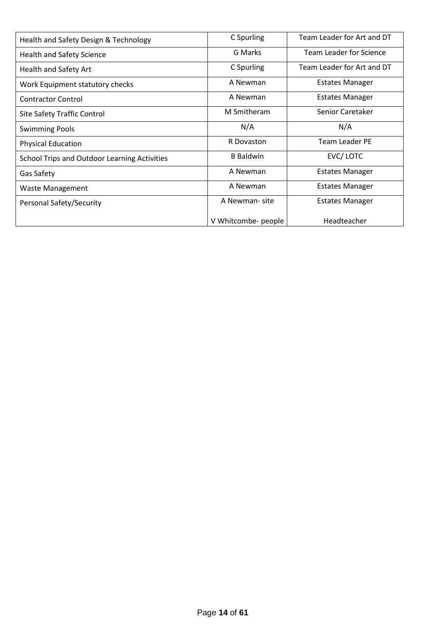| Health and Safety Design & Technology               | C Spurling          | Team Leader for Art and DT |
|-----------------------------------------------------|---------------------|----------------------------|
| Health and Safety Science                           | G Marks             | Team Leader for Science    |
| Health and Safety Art                               | C Spurling          | Team Leader for Art and DT |
| Work Equipment statutory checks                     | A Newman            | <b>Estates Manager</b>     |
| <b>Contractor Control</b>                           | A Newman            | Estates Manager            |
| Site Safety Traffic Control                         | M Smitheram         | Senior Caretaker           |
| <b>Swimming Pools</b>                               | N/A                 | N/A                        |
| <b>Physical Education</b>                           | R Dovaston          | <b>Team Leader PE</b>      |
| <b>School Trips and Outdoor Learning Activities</b> | <b>B</b> Baldwin    | EVC/LOTC                   |
| Gas Safety                                          | A Newman            | <b>Estates Manager</b>     |
| <b>Waste Management</b>                             | A Newman            | <b>Estates Manager</b>     |
| Personal Safety/Security                            | A Newman-site       | <b>Estates Manager</b>     |
|                                                     | V Whitcombe- people | Headteacher                |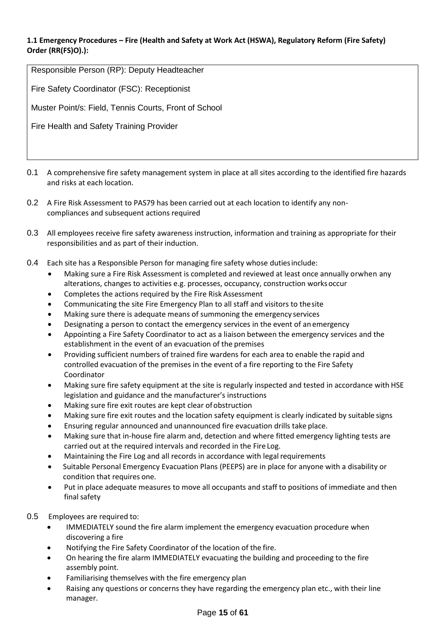#### **1.1 Emergency Procedures – Fire (Health and Safety at Work Act (HSWA), Regulatory Reform (Fire Safety) Order (RR(FS)O).):**

| Responsible Person (RP): Deputy Headteacher           |
|-------------------------------------------------------|
| Fire Safety Coordinator (FSC): Receptionist           |
| Muster Point/s: Field, Tennis Courts, Front of School |
| Fire Health and Safety Training Provider              |

- 0.1 A comprehensive fire safety management system in place at all sites according to the identified fire hazards and risks at each location.
- 0.2 A Fire Risk Assessment to PAS79 has been carried out at each location to identify any noncompliances and subsequent actions required
- 0.3 All employees receive fire safety awareness instruction, information and training as appropriate for their responsibilities and as part of their induction.
- 0.4 Each site has a Responsible Person for managing fire safety whose dutiesinclude:
	- Making sure a Fire Risk Assessment is completed and reviewed at least once annually orwhen any alterations, changes to activities e.g. processes, occupancy, construction worksoccur
	- Completes the actions required by the Fire Risk Assessment
	- Communicating the site Fire Emergency Plan to all staff and visitors to thesite
	- Making sure there is adequate means of summoning the emergency services
	- Designating a person to contact the emergency services in the event of an emergency
	- Appointing a Fire Safety Coordinator to act as a liaison between the emergency services and the establishment in the event of an evacuation of the premises
	- Providing sufficient numbers of trained fire wardens for each area to enable the rapid and controlled evacuation of the premises in the event of a fire reporting to the Fire Safety Coordinator
	- Making sure fire safety equipment at the site is regularly inspected and tested in accordance with HSE legislation and guidance and the manufacturer's instructions
	- Making sure fire exit routes are kept clear of obstruction
	- Making sure fire exit routes and the location safety equipment is clearly indicated by suitable signs
	- Ensuring regular announced and unannounced fire evacuation drills take place.
	- Making sure that in-house fire alarm and, detection and where fitted emergency lighting tests are carried out at the required intervals and recorded in the Fire Log.
	- Maintaining the Fire Log and all records in accordance with legal requirements
	- Suitable Personal Emergency Evacuation Plans (PEEPS) are in place for anyone with a disability or condition that requires one.
	- Put in place adequate measures to move all occupants and staff to positions of immediate and then final safety
- 0.5 Employees are required to:
	- IMMEDIATELY sound the fire alarm implement the emergency evacuation procedure when discovering a fire
	- Notifying the Fire Safety Coordinator of the location of the fire.
	- On hearing the fire alarm IMMEDIATELY evacuating the building and proceeding to the fire assembly point.
	- Familiarising themselves with the fire emergency plan
	- Raising any questions or concerns they have regarding the emergency plan etc., with their line manager.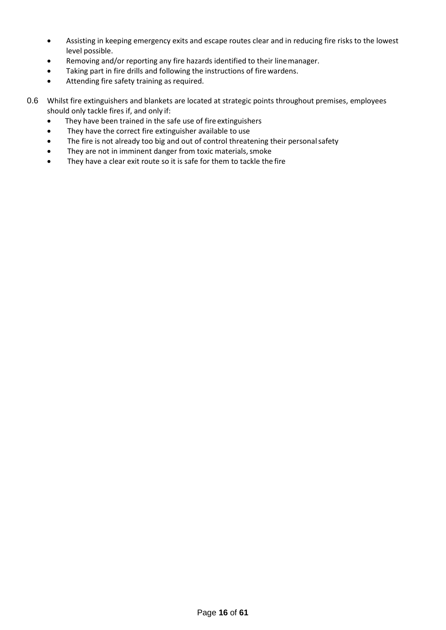- Assisting in keeping emergency exits and escape routes clear and in reducing fire risks to the lowest level possible.
- Removing and/or reporting any fire hazards identified to their linemanager.
- Taking part in fire drills and following the instructions of fire wardens.
- Attending fire safety training as required.
- 0.6 Whilst fire extinguishers and blankets are located at strategic points throughout premises, employees should only tackle fires if, and only if:
	- They have been trained in the safe use of fire extinguishers
	- They have the correct fire extinguisher available to use
	- The fire is not already too big and out of control threatening their personalsafety
	- They are not in imminent danger from toxic materials, smoke
	- They have a clear exit route so it is safe for them to tackle the fire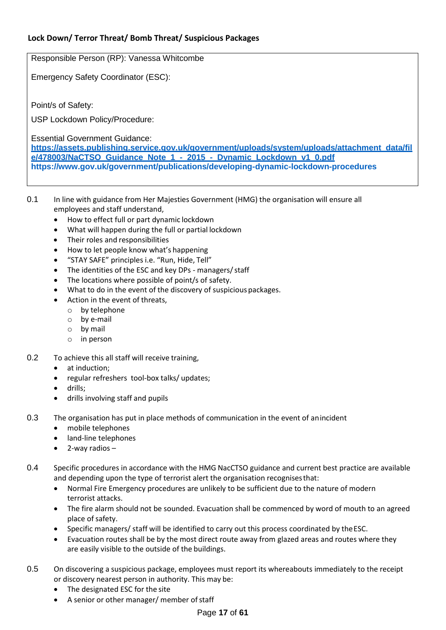# **Lock Down/ Terror Threat/ Bomb Threat/ Suspicious Packages**

Responsible Person (RP): Vanessa Whitcombe

Emergency Safety Coordinator (ESC):

Point/s of Safety:

USP Lockdown Policy/Procedure:

Essential Government Guidance:

**[https://assets.publishing.service.gov.uk/government/uploads/system/uploads/attachment\\_data/fil](https://assets.publishing.service.gov.uk/government/uploads/system/uploads/attachment_data/file/478003/NaCTSO_Guidance_Note_1_-_2015_-_Dynamic_Lockdown_v1_0.pdf) [e/478003/NaCTSO\\_Guidance\\_Note\\_1\\_-\\_2015\\_-\\_Dynamic\\_Lockdown\\_v1\\_0.pdf](https://assets.publishing.service.gov.uk/government/uploads/system/uploads/attachment_data/file/478003/NaCTSO_Guidance_Note_1_-_2015_-_Dynamic_Lockdown_v1_0.pdf) <https://www.gov.uk/government/publications/developing-dynamic-lockdown-procedures>**

- 0.1 In line with guidance from Her Majesties Government (HMG) the organisation will ensure all employees and staff understand,
	- How to effect full or part dynamic lockdown
	- What will happen during the full or partial lockdown
	- Their roles and responsibilities
	- How to let people know what's happening
	- "STAY SAFE" principles i.e. "Run, Hide, Tell"
	- The identities of the ESC and key DPs managers/staff
	- The locations where possible of point/s of safety.
	- What to do in the event of the discovery of suspicious packages.
	- Action in the event of threats,
		- o by telephone
		- o by e-mail
		- o by mail
		- o in person
- 0.2 To achieve this all staff will receive training,
	- at induction;
	- regular refreshers tool-box talks/ updates;
	- drills;
	- drills involving staff and pupils
- 0.3 The organisation has put in place methods of communication in the event of anincident
	- mobile telephones
	- land-line telephones
	- 2-way radios  $-$
- 0.4 Specific procedures in accordance with the HMG NacCTSO guidance and current best practice are available and depending upon the type of terrorist alert the organisation recognisesthat:
	- Normal Fire Emergency procedures are unlikely to be sufficient due to the nature of modern terrorist attacks.
	- The fire alarm should not be sounded. Evacuation shall be commenced by word of mouth to an agreed place of safety.
	- Specific managers/ staff will be identified to carry out this process coordinated by theESC.
	- Evacuation routes shall be by the most direct route away from glazed areas and routes where they are easily visible to the outside of the buildings.
- 0.5 On discovering a suspicious package, employees must report its whereabouts immediately to the receipt or discovery nearest person in authority. This may be:
	- The designated ESC for the site
	- A senior or other manager/ member of staff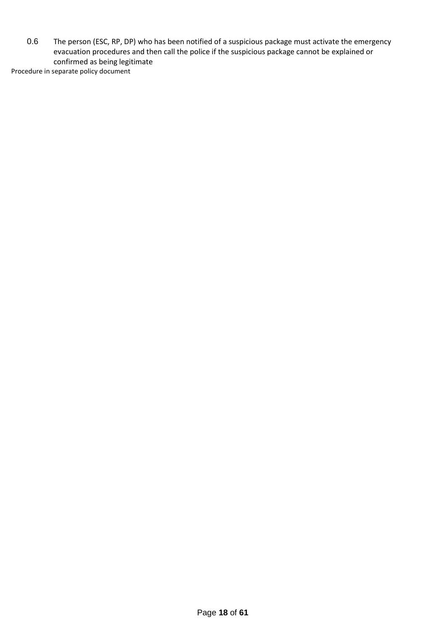0.6 The person (ESC, RP, DP) who has been notified of a suspicious package must activate the emergency evacuation procedures and then call the police if the suspicious package cannot be explained or confirmed as being legitimate

Procedure in separate policy document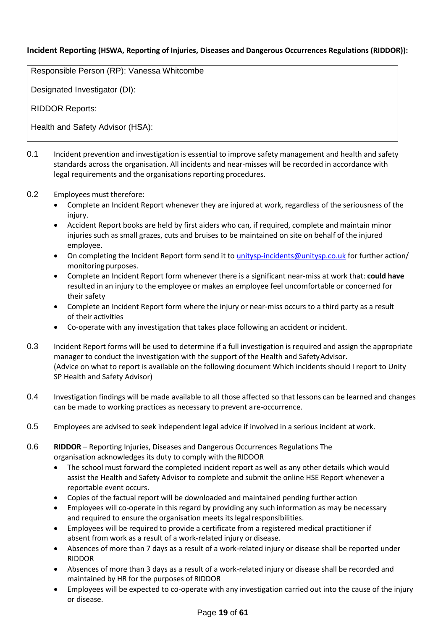# **Incident Reporting (HSWA, Reporting of Injuries, Diseases and Dangerous Occurrences Regulations (RIDDOR)):**

Responsible Person (RP): Vanessa Whitcombe

Designated Investigator (DI):

RIDDOR Reports:

Health and Safety Advisor (HSA):

- 0.1 Incident prevention and investigation is essential to improve safety management and health and safety standards across the organisation. All incidents and near-misses will be recorded in accordance with legal requirements and the organisations reporting procedures.
- 0.2 Employees must therefore:
	- Complete an Incident Report whenever they are injured at work, regardless of the seriousness of the injury.
	- Accident Report books are held by first aiders who can, if required, complete and maintain minor injuries such as small grazes, cuts and bruises to be maintained on site on behalf of the injured employee.
	- On completing the Incident Report form send it to [unitysp-incidents@unitysp.co.uk](mailto:unitysp-incidents@unitysp.co.uk) for further action/ monitoring purposes.
	- Complete an Incident Report form whenever there is a significant near-miss at work that: **could have**  resulted in an injury to the employee or makes an employee feel uncomfortable or concerned for their safety
	- Complete an Incident Report form where the injury or near-miss occurs to a third party as a result of their activities
	- Co-operate with any investigation that takes place following an accident or incident.
- 0.3 Incident Report forms will be used to determine if a full investigation is required and assign the appropriate manager to conduct the investigation with the support of the Health and SafetyAdvisor. (Advice on what to report is available on the following document Which incidents should I report to Unity SP Health and Safety Advisor)
- 0.4 Investigation findings will be made available to all those affected so that lessons can be learned and changes can be made to working practices as necessary to prevent are-occurrence.
- 0.5 Employees are advised to seek independent legal advice if involved in a serious incident at work.
- 0.6 **RIDDOR**  Reporting Injuries, Diseases and Dangerous Occurrences Regulations The organisation acknowledges its duty to comply with the RIDDOR
	- The school must forward the completed incident report as well as any other details which would assist the Health and Safety Advisor to complete and submit the online HSE Report whenever a reportable event occurs.
	- Copies of the factual report will be downloaded and maintained pending further action
	- Employees will co-operate in this regard by providing any such information as may be necessary and required to ensure the organisation meets its legalresponsibilities.
	- Employees will be required to provide a certificate from a registered medical practitioner if absent from work as a result of a work-related injury or disease.
	- Absences of more than 7 days as a result of a work-related injury or disease shall be reported under RIDDOR
	- Absences of more than 3 days as a result of a work-related injury or disease shall be recorded and maintained by HR for the purposes of RIDDOR
	- Employees will be expected to co-operate with any investigation carried out into the cause of the injury or disease.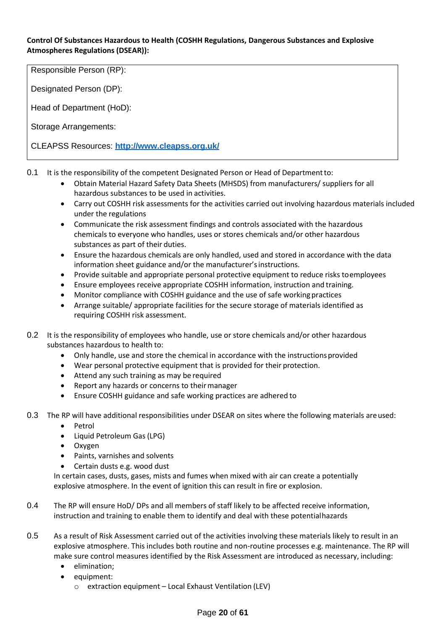#### **Control Of Substances Hazardous to Health (COSHH Regulations, Dangerous Substances and Explosive Atmospheres Regulations (DSEAR)):**

Responsible Person (RP):

Designated Person (DP):

Head of Department (HoD):

Storage Arrangements:

CLEAPSS Resources: **<http://www.cleapss.org.uk/>**

- 0.1 It is the responsibility of the competent Designated Person or Head of Departmentto:
	- Obtain Material Hazard Safety Data Sheets (MHSDS) from manufacturers/ suppliers for all hazardous substances to be used in activities.
	- Carry out COSHH risk assessments for the activities carried out involving hazardous materials included under the regulations
	- Communicate the risk assessment findings and controls associated with the hazardous chemicals to everyone who handles, uses or stores chemicals and/or other hazardous substances as part of their duties.
	- Ensure the hazardous chemicals are only handled, used and stored in accordance with the data information sheet guidance and/or the manufacturer'sinstructions.
	- Provide suitable and appropriate personal protective equipment to reduce risks toemployees
	- Ensure employees receive appropriate COSHH information, instruction and training.
	- Monitor compliance with COSHH guidance and the use of safe working practices
	- Arrange suitable/ appropriate facilities for the secure storage of materials identified as requiring COSHH risk assessment.
- 0.2 It is the responsibility of employees who handle, use or store chemicals and/or other hazardous substances hazardous to health to:
	- Only handle, use and store the chemical in accordance with the instructions provided
	- Wear personal protective equipment that is provided for their protection.
	- Attend any such training as may be required
	- Report any hazards or concerns to their manager
	- Ensure COSHH guidance and safe working practices are adhered to
- 0.3 The RP will have additional responsibilities under DSEAR on sites where the following materials areused:
	- Petrol
	- Liquid Petroleum Gas(LPG)
	- Oxygen
	- Paints, varnishes and solvents
	- Certain dusts e.g. wood dust

In certain cases, dusts, gases, mists and fumes when mixed with air can create a potentially explosive atmosphere. In the event of ignition this can result in fire or explosion.

- 0.4 The RP will ensure HoD/ DPs and all members of staff likely to be affected receive information, instruction and training to enable them to identify and deal with these potentialhazards
- 0.5 As a result of Risk Assessment carried out of the activities involving these materials likely to result in an explosive atmosphere. This includes both routine and non-routine processes e.g. maintenance. The RP will make sure control measures identified by the Risk Assessment are introduced as necessary, including:
	- elimination;
	- equipment:
		- o extraction equipment Local Exhaust Ventilation (LEV)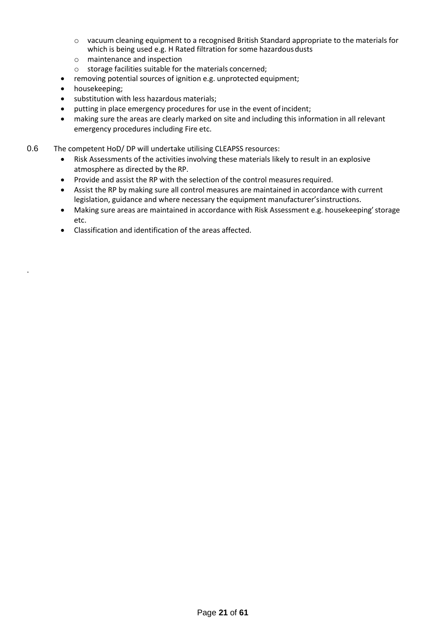- $\circ$  vacuum cleaning equipment to a recognised British Standard appropriate to the materials for which is being used e.g. H Rated filtration for some hazardous dusts
- o maintenance and inspection
- o storage facilities suitable for the materials concerned;
- removing potential sources of ignition e.g. unprotected equipment;
- housekeeping;

.

- substitution with less hazardous materials;
- putting in place emergency procedures for use in the event of incident;
- making sure the areas are clearly marked on site and including this information in all relevant emergency procedures including Fire etc.
- 0.6 The competent HoD/DP will undertake utilising CLEAPSS resources:
	- Risk Assessments of the activities involving these materials likely to result in an explosive atmosphere as directed by the RP.
	- Provide and assist the RP with the selection of the control measures required.
	- Assist the RP by making sure all control measures are maintained in accordance with current legislation, guidance and where necessary the equipment manufacturer'sinstructions.
	- Making sure areas are maintained in accordance with Risk Assessment e.g. housekeeping'storage etc.
	- Classification and identification of the areas affected.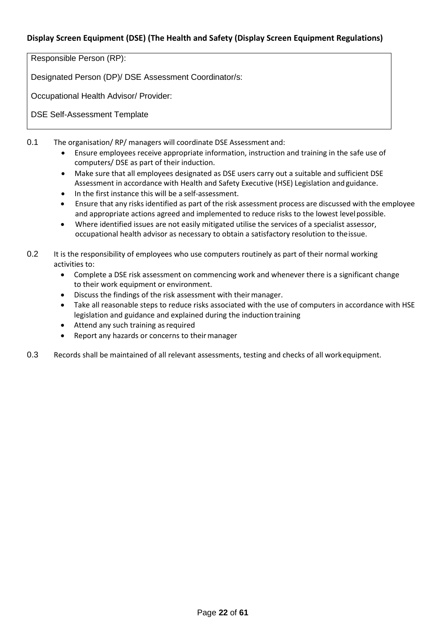# **Display Screen Equipment (DSE) (The Health and Safety (Display Screen Equipment Regulations)**

Responsible Person (RP):

Designated Person (DP)/ DSE Assessment Coordinator/s:

Occupational Health Advisor/ Provider:

DSE Self-Assessment Template

0.1 The organisation/ RP/ managers will coordinate DSE Assessment and:

- Ensure employees receive appropriate information, instruction and training in the safe use of computers/ DSE as part of their induction.
- Make sure that all employees designated as DSE users carry out a suitable and sufficient DSE Assessment in accordance with Health and Safety Executive (HSE) Legislation and guidance.
- In the first instance this will be a self-assessment.
- Ensure that any risksidentified as part of the risk assessment process are discussed with the employee and appropriate actions agreed and implemented to reduce risks to the lowest levelpossible.
- Where identified issues are not easily mitigated utilise the services of a specialist assessor, occupational health advisor as necessary to obtain a satisfactory resolution to theissue.
- 0.2 It is the responsibility of employees who use computers routinely as part of their normal working activities to:
	- Complete a DSE risk assessment on commencing work and whenever there is a significant change to their work equipment or environment.
	- Discuss the findings of the risk assessment with their manager.
	- Take all reasonable steps to reduce risks associated with the use of computers in accordance with HSE legislation and guidance and explained during the induction training
	- Attend any such training as required
	- Report any hazards or concerns to their manager
- 0.3 Records shall be maintained of all relevant assessments, testing and checks of all workequipment.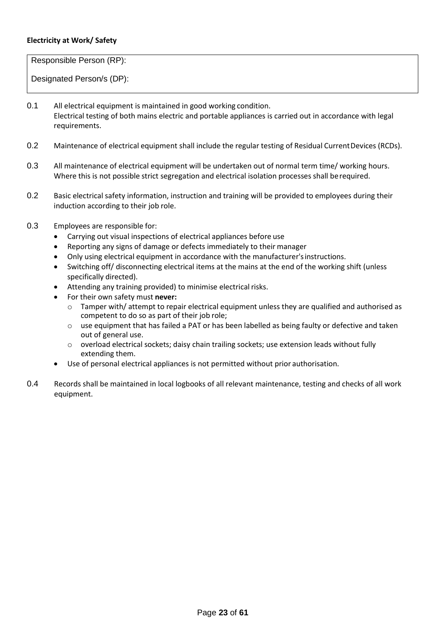#### **Electricity at Work/ Safety**

Responsible Person (RP):

- 0.1 All electrical equipment is maintained in good working condition. Electrical testing of both mains electric and portable appliances is carried out in accordance with legal requirements.
- 0.2 Maintenance of electrical equipment shall include the regular testing of Residual CurrentDevices (RCDs).
- 0.3 All maintenance of electrical equipment will be undertaken out of normal term time/ working hours. Where this is not possible strict segregation and electrical isolation processes shall berequired.
- 0.2 Basic electrical safety information, instruction and training will be provided to employees during their induction according to their job role.
- 0.3 Employees are responsible for:
	- Carrying out visual inspections of electrical appliances before use
	- Reporting any signs of damage or defects immediately to their manager
	- Only using electrical equipment in accordance with the manufacturer's instructions.
	- Switching off/ disconnecting electrical items at the mains at the end of the working shift (unless specifically directed).
	- Attending any training provided) to minimise electrical risks.
	- For their own safety must **never:**
		- o Tamper with/ attempt to repair electrical equipment unless they are qualified and authorised as competent to do so as part of their job role;
		- o use equipment that has failed a PAT or has been labelled as being faulty or defective and taken out of general use.
		- $\circ$  overload electrical sockets; daisy chain trailing sockets; use extension leads without fully extending them.
	- Use of personal electrical appliances is not permitted without prior authorisation.
- 0.4 Records shall be maintained in local logbooks of all relevant maintenance, testing and checks of all work equipment.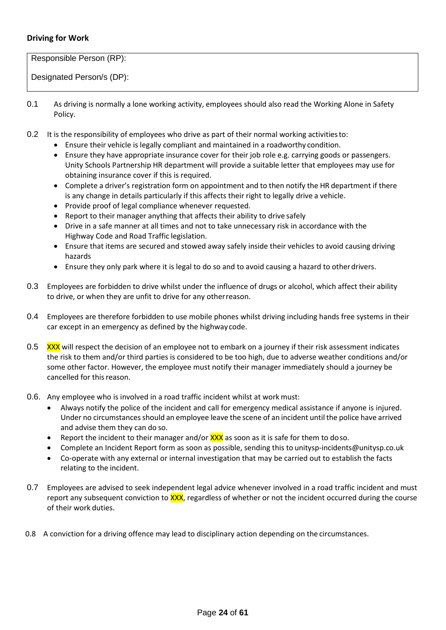# **Driving for Work**

Responsible Person (RP):

- 0.1 As driving is normally a lone working activity, employees should also read the Working Alone in Safety Policy.
- 0.2 It is the responsibility of employees who drive as part of their normal working activitiesto:
	- Ensure their vehicle is legally compliant and maintained in a roadworthy condition.
	- Ensure they have appropriate insurance cover for their job role e.g. carrying goods or passengers. Unity Schools Partnership HR department will provide a suitable letter that employees may use for obtaining insurance cover if this is required.
	- Complete a driver's registration form on appointment and to then notify the HR department if there is any change in details particularly if this affects their right to legally drive a vehicle.
	- Provide proof of legal compliance whenever requested.
	- Report to their manager anything that affects their ability to drive safely
	- Drive in a safe manner at all times and not to take unnecessary risk in accordance with the Highway Code and Road Traffic legislation.
	- Ensure that items are secured and stowed away safely inside their vehicles to avoid causing driving hazards
	- Ensure they only park where it is legal to do so and to avoid causing a hazard to otherdrivers.
- 0.3 Employees are forbidden to drive whilst under the influence of drugs or alcohol, which affect their ability to drive, or when they are unfit to drive for any otherreason.
- 0.4 Employees are therefore forbidden to use mobile phones whilst driving including hands free systems in their car except in an emergency as defined by the highwaycode.
- 0.5 XXX will respect the decision of an employee not to embark on a journey if their risk assessment indicates the risk to them and/or third parties is considered to be too high, due to adverse weather conditions and/or some other factor. However, the employee must notify their manager immediately should a journey be cancelled for this reason.
- 0.6. Any employee who is involved in a road traffic incident whilst at work must:
	- Always notify the police of the incident and call for emergency medical assistance if anyone is injured. Under no circumstances should an employee leave the scene of an incident until the police have arrived and advise them they can do so.
	- Report the incident to their manager and/or  $\frac{XX}{XX}$  as soon as it is safe for them to doso.
	- Complete an Incident Report form as soon as possible, sending this to [unitysp-incidents@unitysp.co.uk](mailto:unitysp-incidents@unitysp.co.uk)
	- Co-operate with any external or internal investigation that may be carried out to establish the facts relating to the incident.
- 0.7 Employees are advised to seek independent legal advice whenever involved in a road traffic incident and must report any subsequent conviction to **XXX**, regardless of whether or not the incident occurred during the course of their work duties.
- 0.8 A conviction for a driving offence may lead to disciplinary action depending on the circumstances.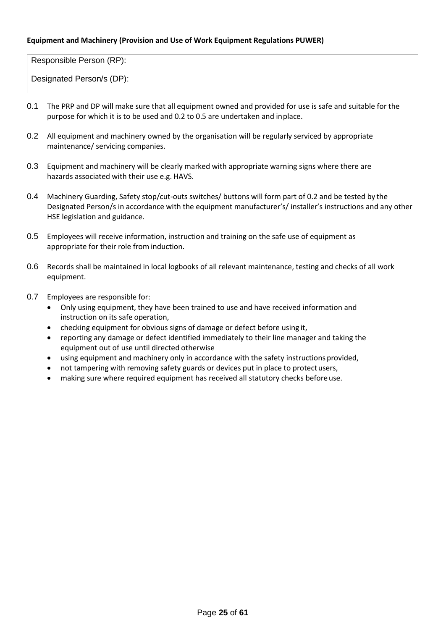#### **Equipment and Machinery (Provision and Use of Work Equipment Regulations PUWER)**

Responsible Person (RP):

- 0.1 The PRP and DP will make sure that all equipment owned and provided for use is safe and suitable for the purpose for which it is to be used and 0.2 to 0.5 are undertaken and inplace.
- 0.2 All equipment and machinery owned by the organisation will be regularly serviced by appropriate maintenance/ servicing companies.
- 0.3 Equipment and machinery will be clearly marked with appropriate warning signs where there are hazards associated with their use e.g. HAVS.
- 0.4 Machinery Guarding, Safety stop/cut-outs switches/ buttons will form part of 0.2 and be tested by the Designated Person/s in accordance with the equipment manufacturer's/ installer's instructions and any other HSE legislation and guidance.
- 0.5 Employees will receive information, instruction and training on the safe use of equipment as appropriate for their role from induction.
- 0.6 Records shall be maintained in local logbooks of all relevant maintenance, testing and checks of all work equipment.
- 0.7 Employees are responsible for:
	- Only using equipment, they have been trained to use and have received information and instruction on its safe operation,
	- checking equipment for obvious signs of damage or defect before using it,
	- reporting any damage or defect identified immediately to their line manager and taking the equipment out of use until directed otherwise
	- using equipment and machinery only in accordance with the safety instructions provided,
	- not tampering with removing safety guards or devices put in place to protect users,
	- making sure where required equipment has received all statutory checks before use.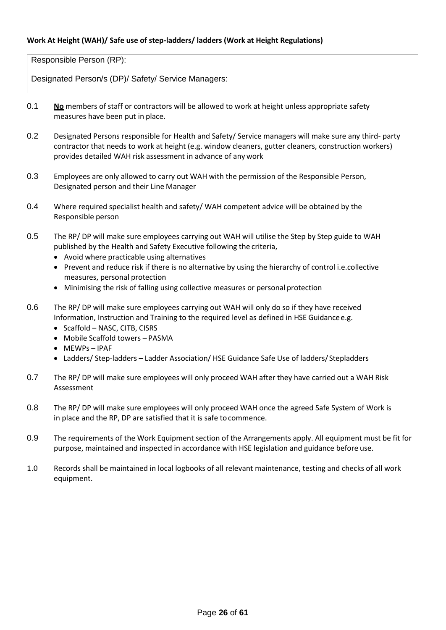Responsible Person (RP):

Designated Person/s (DP)/ Safety/ Service Managers:

- 0.1 **No** members of staff or contractors will be allowed to work at height unless appropriate safety measures have been put in place.
- 0.2 Designated Persons responsible for Health and Safety/ Service managers will make sure any third- party contractor that needs to work at height (e.g. window cleaners, gutter cleaners, construction workers) provides detailed WAH risk assessment in advance of any work
- 0.3 Employees are only allowed to carry out WAH with the permission of the Responsible Person, Designated person and their Line Manager
- 0.4 Where required specialist health and safety/WAH competent advice will be obtained by the Responsible person
- 0.5 The RP/ DP will make sure employees carrying out WAH will utilise the Step by Step guide to WAH published by the Health and Safety Executive following the criteria,
	- Avoid where practicable using alternatives
	- Prevent and reduce risk if there is no alternative by using the hierarchy of control i.e.collective measures, personal protection
	- Minimising the risk of falling using collective measures or personal protection
- 0.6 The RP/DP will make sure employees carrying out WAH will only do so if they have received Information, Instruction and Training to the required level as defined in HSE Guidance e.g.
	- Scaffold NASC, CITB, CISRS
	- Mobile Scaffold towers PASMA
	- MEWPs IPAF
	- Ladders/ Step-ladders Ladder Association/ HSE Guidance Safe Use of ladders/ Stepladders
- 0.7 The RP/ DP will make sure employees will only proceed WAH after they have carried out a WAH Risk Assessment
- 0.8 The RP/ DP will make sure employees will only proceed WAH once the agreed Safe System of Work is in place and the RP, DP are satisfied that it is safe tocommence.
- 0.9 The requirements of the Work Equipment section of the Arrangements apply. All equipment must be fit for purpose, maintained and inspected in accordance with HSE legislation and guidance before use.
- 1.0 Records shall be maintained in local logbooks of all relevant maintenance, testing and checks of all work equipment.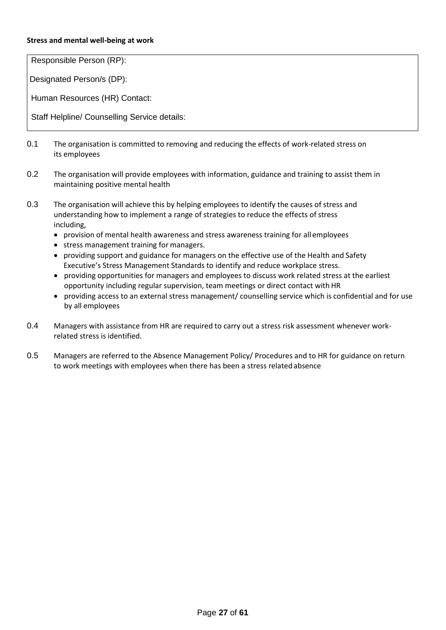#### **Stress and mental well-being at work**

Responsible Person (RP):

Designated Person/s (DP):

Human Resources (HR) Contact:

Staff Helpline/ Counselling Service details:

- 0.1 The organisation is committed to removing and reducing the effects of work-related stress on its employees
- 0.2 The organisation will provide employees with information, guidance and training to assist them in maintaining positive mental health
- 0.3 The organisation will achieve this by helping employees to identify the causes of stress and understanding how to implement a range of strategies to reduce the effects of stress including,
	- provision of mental health awareness and stress awareness training for all employees
	- stress management training for managers.
	- providing support and guidance for managers on the effective use of the Health and Safety Executive's Stress Management Standards to identify and reduce workplace stress.
	- providing opportunities for managers and employees to discuss work related stress at the earliest opportunity including regular supervision, team meetings or direct contact with HR
	- providing access to an external stress management/ counselling service which is confidential and for use by all employees
- 0.4 Managers with assistance from HR are required to carry out a stress risk assessment whenever workrelated stress is identified.
- 0.5 Managers are referred to the Absence Management Policy/ Procedures and to HR for guidance on return to work meetings with employees when there has been a stress related absence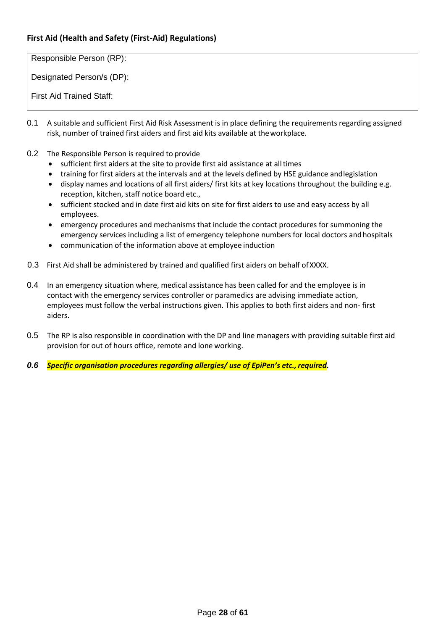# **First Aid (Health and Safety (First-Aid) Regulations)**

Responsible Person (RP):

Designated Person/s (DP):

First Aid Trained Staff:

- 0.1 A suitable and sufficient First Aid Risk Assessment is in place defining the requirements regarding assigned risk, number of trained first aiders and first aid kits available at theworkplace.
- 0.2 The Responsible Person is required to provide
	- sufficient first aiders at the site to provide first aid assistance at alltimes
	- training for first aiders at the intervals and at the levels defined by HSE guidance andlegislation
	- display names and locations of all first aiders/ first kits at key locations throughout the building e.g. reception, kitchen, staff notice board etc.,
	- sufficient stocked and in date first aid kits on site for first aiders to use and easy access by all employees.
	- emergency procedures and mechanisms that include the contact procedures for summoning the emergency services including a list of emergency telephone numbers for local doctors and hospitals
	- communication of the information above at employee induction
- 0.3 First Aid shall be administered by trained and qualified first aiders on behalf ofXXXX.
- 0.4 In an emergency situation where, medical assistance has been called for and the employee is in contact with the emergency services controller or paramedics are advising immediate action, employees must follow the verbal instructions given. This applies to both first aiders and non- first aiders.
- 0.5 The RP is also responsible in coordination with the DP and line managers with providing suitable first aid provision for out of hours office, remote and lone working.
- *0.6 Specific organisation procedures regarding allergies/ use of EpiPen's etc.,required.*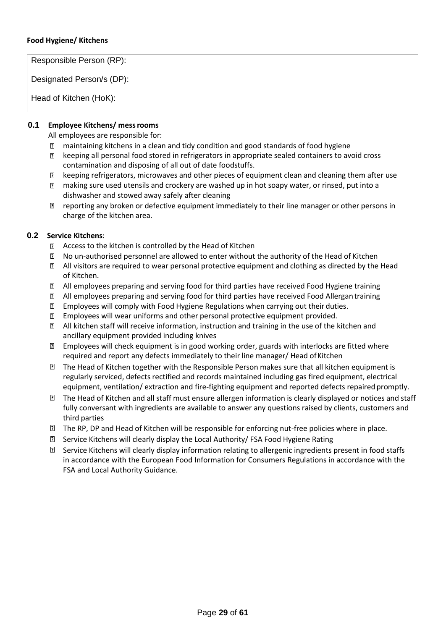#### **Food Hygiene/ Kitchens**

Responsible Person (RP):

Designated Person/s (DP):

Head of Kitchen (HoK):

#### **0.1 Employee Kitchens/ messrooms**

All employees are responsible for:

- $\overline{2}$ maintaining kitchens in a clean and tidy condition and good standards of food hygiene
- keeping all personal food stored in refrigerators in appropriate sealed containers to avoid cross  $\Box$ contamination and disposing of all out of date foodstuffs.
- keeping refrigerators, microwaves and other pieces of equipment clean and cleaning them after use
- making sure used utensils and crockery are washed up in hot soapy water, or rinsed, put into a dishwasher and stowed away safely after cleaning
- reporting any broken or defective equipment immediately to their line manager or other persons in charge of the kitchen area.

#### **0.2 Service Kitchens**:

- Access to the kitchen is controlled by the Head of Kitchen
- No un-authorised personnel are allowed to enter without the authority of the Head of Kitchen 7
- **If** All visitors are required to wear personal protective equipment and clothing as directed by the Head of Kitchen.
- All employees preparing and serving food for third parties have received Food Hygiene training
- All employees preparing and serving food for third parties have received Food Allergantraining
- $\overline{2}$ Employees will comply with Food Hygiene Regulations when carrying out their duties.
- Employees will wear uniforms and other personal protective equipment provided.
- All kitchen staff will receive information, instruction and training in the use of the kitchen and ancillary equipment provided including knives
- $\Box$  Employees will check equipment is in good working order, guards with interlocks are fitted where required and report any defects immediately to their line manager/ Head ofKitchen
- $\Box$  The Head of Kitchen together with the Responsible Person makes sure that all kitchen equipment is regularly serviced, defects rectified and records maintained including gas fired equipment, electrical equipment, ventilation/ extraction and fire-fighting equipment and reported defects repaired promptly.
- The Head of Kitchen and all staff must ensure allergen information is clearly displayed or notices and staff fully conversant with ingredients are available to answer any questions raised by clients, customers and third parties
- The RP, DP and Head of Kitchen will be responsible for enforcing nut-free policies where in place.
- Service Kitchens will clearly display the Local Authority/ FSA Food Hygiene Rating
- **a** Service Kitchens will clearly display information relating to allergenic ingredients present in food staffs in accordance with the European Food Information for Consumers Regulations in accordance with the FSA and Local Authority Guidance.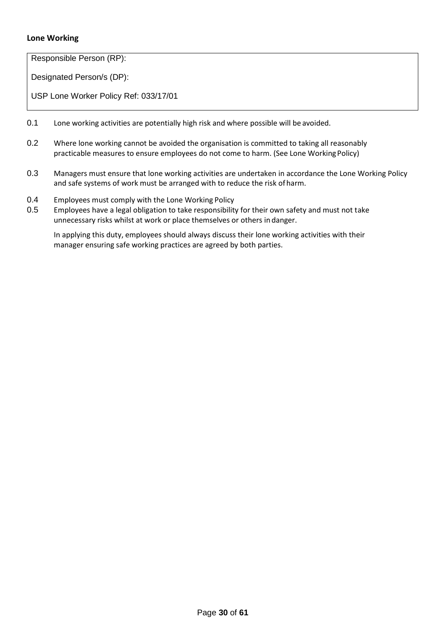## **Lone Working**

Responsible Person (RP):

Designated Person/s (DP):

USP Lone Worker Policy Ref: 033/17/01

- 0.1 Lone working activities are potentially high risk and where possible will be avoided.
- 0.2 Where lone working cannot be avoided the organisation is committed to taking all reasonably practicable measures to ensure employees do not come to harm. (See Lone WorkingPolicy)
- 0.3 Managers must ensure that lone working activities are undertaken in accordance the Lone Working Policy and safe systems of work must be arranged with to reduce the risk of harm.
- 0.4 Employees must comply with the Lone Working Policy
- 0.5 Employees have a legal obligation to take responsibility for their own safety and must not take unnecessary risks whilst at work or place themselves or others in danger.

In applying this duty, employees should always discuss their lone working activities with their manager ensuring safe working practices are agreed by both parties.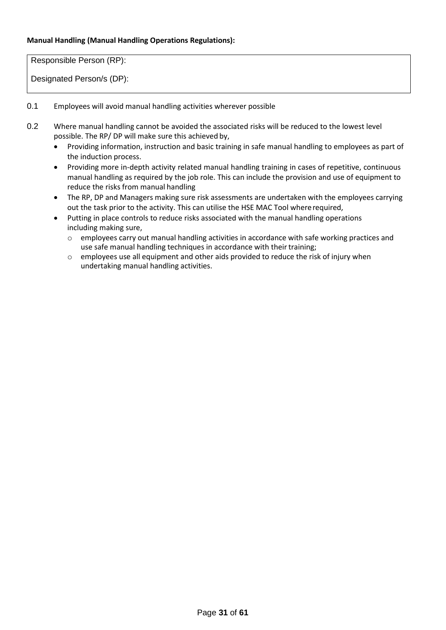#### **Manual Handling (Manual Handling Operations Regulations):**

Responsible Person (RP):

- 0.1 Employees will avoid manual handling activities wherever possible
- 0.2 Where manual handling cannot be avoided the associated risks will be reduced to the lowest level possible. The RP/ DP will make sure this achieved by,
	- Providing information, instruction and basic training in safe manual handling to employees as part of the induction process.
	- Providing more in-depth activity related manual handling training in cases of repetitive, continuous manual handling as required by the job role. This can include the provision and use of equipment to reduce the risks from manual handling
	- The RP, DP and Managers making sure risk assessments are undertaken with the employees carrying out the task prior to the activity. This can utilise the HSE MAC Tool whererequired,
	- Putting in place controls to reduce risks associated with the manual handling operations including making sure,
		- o employees carry out manual handling activities in accordance with safe working practices and use safe manual handling techniques in accordance with their training;
		- o employees use all equipment and other aids provided to reduce the risk of injury when undertaking manual handling activities.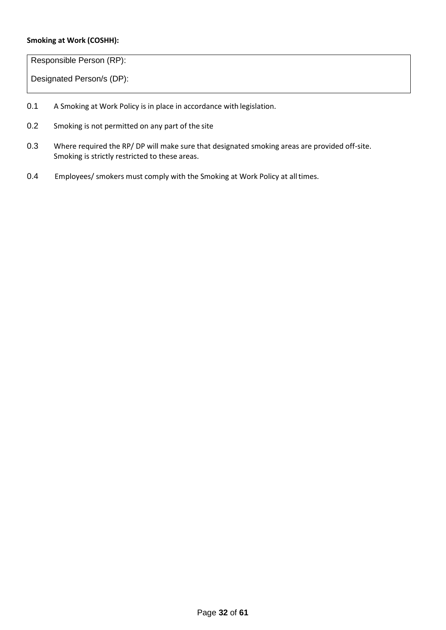#### **Smoking at Work (COSHH):**

Responsible Person (RP):

- 0.1 A Smoking at Work Policy is in place in accordance with legislation.
- 0.2 Smoking is not permitted on any part of the site
- 0.3 Where required the RP/ DP will make sure that designated smoking areas are provided off-site. Smoking is strictly restricted to these areas.
- 0.4 Employees/ smokers must comply with the Smoking at Work Policy at all times.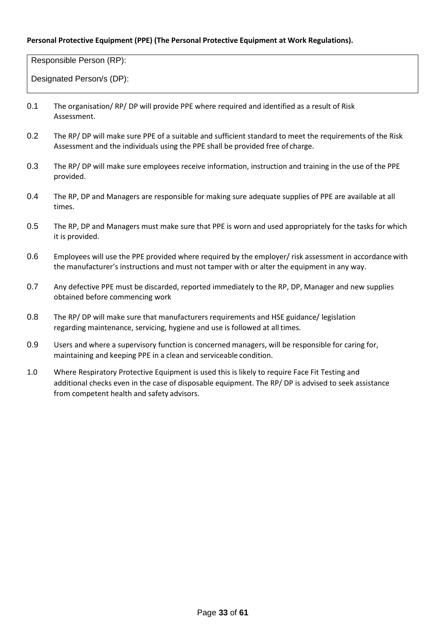#### **Personal Protective Equipment (PPE) (The Personal Protective Equipment at Work Regulations).**

Responsible Person (RP):

- 0.1 The organisation/ RP/ DP will provide PPE where required and identified as a result of Risk Assessment.
- 0.2 The RP/ DP will make sure PPE of a suitable and sufficient standard to meet the requirements of the Risk Assessment and the individuals using the PPE shall be provided free of charge.
- 0.3 The RP/ DP will make sure employees receive information, instruction and training in the use of the PPE provided.
- 0.4 The RP, DP and Managers are responsible for making sure adequate supplies of PPE are available at all times.
- 0.5 The RP, DP and Managers must make sure that PPE is worn and used appropriately for the tasks for which it is provided.
- 0.6 Employees will use the PPE provided where required by the employer/ risk assessment in accordance with the manufacturer's instructions and must not tamper with or alter the equipment in any way.
- 0.7 Any defective PPE must be discarded, reported immediately to the RP, DP, Manager and new supplies obtained before commencing work
- 0.8 The RP/ DP will make sure that manufacturers requirements and HSE guidance/ legislation regarding maintenance, servicing, hygiene and use is followed at all times.
- 0.9 Users and where a supervisory function is concerned managers, will be responsible for caring for, maintaining and keeping PPE in a clean and serviceable condition.
- 1.0 Where Respiratory Protective Equipment is used this is likely to require Face Fit Testing and additional checks even in the case of disposable equipment. The RP/ DP is advised to seek assistance from competent health and safety advisors.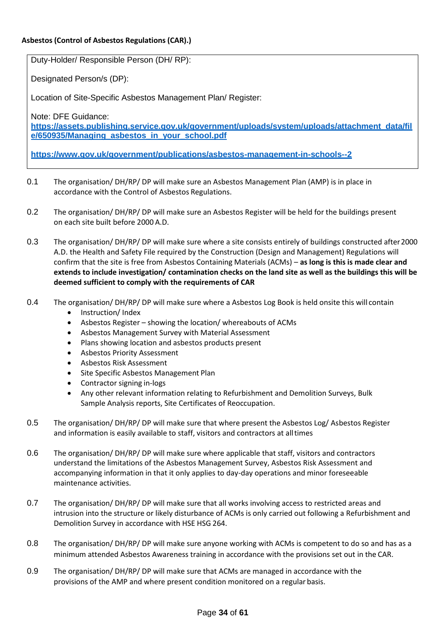Duty-Holder/ Responsible Person (DH/ RP):

Designated Person/s (DP):

Location of Site-Specific Asbestos Management Plan/ Register:

Note: DFE Guidance:

**[https://assets.publishing.service.gov.uk/government/uploads/system/uploads/attachment\\_data/fil](https://assets.publishing.service.gov.uk/government/uploads/system/uploads/attachment_data/file/650935/Managing_asbestos_in_your_school.pdf) [e/650935/Managing\\_asbestos\\_in\\_your\\_school.pdf](https://assets.publishing.service.gov.uk/government/uploads/system/uploads/attachment_data/file/650935/Managing_asbestos_in_your_school.pdf)**

**<https://www.gov.uk/government/publications/asbestos-management-in-schools--2>**

- 0.1 The organisation/ DH/RP/ DP will make sure an Asbestos Management Plan (AMP) is in place in accordance with the Control of Asbestos Regulations.
- 0.2 The organisation/ DH/RP/ DP will make sure an Asbestos Register will be held for the buildings present on each site built before 2000 A.D.
- 0.3 The organisation/ DH/RP/ DP will make sure where a site consists entirely of buildings constructed after 2000 A.D. the Health and Safety File required by the Construction (Design and Management) Regulations will confirm that the site is free from Asbestos Containing Materials (ACMs) – **as long is this is made clear and extends to include investigation/ contamination checks on the land site as well as the buildings this will be deemed sufficient to comply with the requirements of CAR**
- 0.4 The organisation/DH/RP/DP will make sure where a Asbestos Log Book is held onsite this will contain
	- Instruction/ Index
	- Asbestos Register showing the location/ whereabouts of ACMs
	- Asbestos Management Survey with Material Assessment
	- Plans showing location and asbestos products present
	- Asbestos Priority Assessment
	- Asbestos Risk Assessment
	- Site Specific Asbestos Management Plan
	- Contractor signing in-logs
	- Any other relevant information relating to Refurbishment and Demolition Surveys, Bulk Sample Analysis reports, Site Certificates of Reoccupation.
- 0.5 The organisation/DH/RP/DP will make sure that where present the Asbestos Log/Asbestos Register and information is easily available to staff, visitors and contractors at alltimes
- 0.6 The organisation/DH/RP/DP will make sure where applicable that staff, visitors and contractors understand the limitations of the Asbestos Management Survey, Asbestos Risk Assessment and accompanying information in that it only applies to day-day operations and minor foreseeable maintenance activities.
- 0.7 The organisation/ DH/RP/ DP will make sure that all works involving access to restricted areas and intrusion into the structure or likely disturbance of ACMs is only carried out following a Refurbishment and Demolition Survey in accordance with HSE HSG 264.
- 0.8 The organisation/DH/RP/DP will make sure anyone working with ACMs is competent to do so and has as a minimum attended Asbestos Awareness training in accordance with the provisions set out in the CAR.
- 0.9 The organisation/DH/RP/DP will make sure that ACMs are managed in accordance with the provisions of the AMP and where present condition monitored on a regular basis.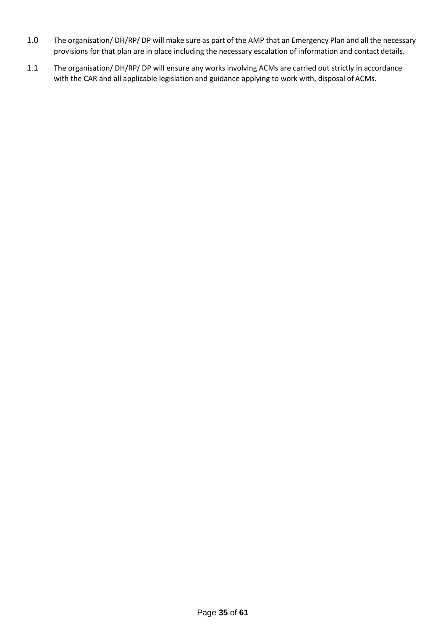- 1.0 The organisation/ DH/RP/ DP will make sure as part of the AMP that an Emergency Plan and all the necessary provisions for that plan are in place including the necessary escalation of information and contact details.
- 1.1 The organisation/ DH/RP/ DP will ensure any works involving ACMs are carried out strictly in accordance with the CAR and all applicable legislation and guidance applying to work with, disposal of ACMs.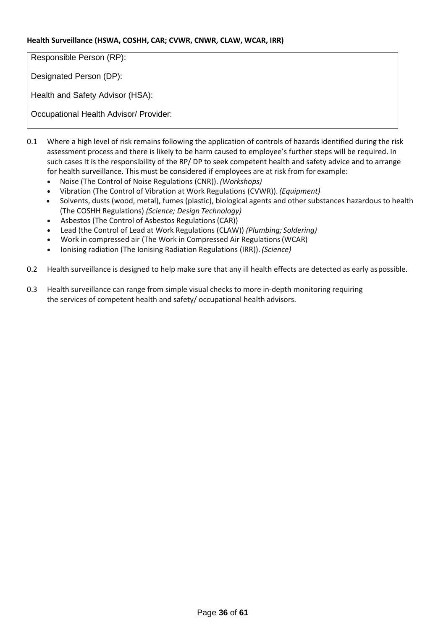#### **Health Surveillance (HSWA, COSHH, CAR; CVWR, CNWR, CLAW, WCAR, IRR)**

Responsible Person (RP):

Designated Person (DP):

Health and Safety Advisor (HSA):

Occupational Health Advisor/ Provider:

- 0.1 Where a high level of risk remains following the application of controls of hazards identified during the risk assessment process and there is likely to be harm caused to employee's further steps will be required. In such cases It is the responsibility of the RP/ DP to seek competent health and safety advice and to arrange for health surveillance. This must be considered if employees are at risk from for example:
	- Noise (The Control of Noise Regulations (CNR)). *(Workshops)*
	- Vibration (The Control of Vibration at Work Regulations (CVWR)). *(Equipment)*
	- Solvents, dusts (wood, metal), fumes (plastic), biological agents and other substances hazardous to health (The COSHH Regulations) *(Science; Design Technology)*
	- Asbestos (The Control of Asbestos Regulations(CAR))
	- Lead (the Control of Lead at Work Regulations (CLAW)) *(Plumbing; Soldering)*
	- Work in compressed air (The Work in Compressed Air Regulations(WCAR)
	- Ionising radiation (The Ionising Radiation Regulations (IRR)). *(Science)*
- 0.2 Health surveillance is designed to help make sure that any ill health effects are detected as early aspossible.
- 0.3 Health surveillance can range from simple visual checks to more in-depth monitoring requiring the services of competent health and safety/ occupational health advisors.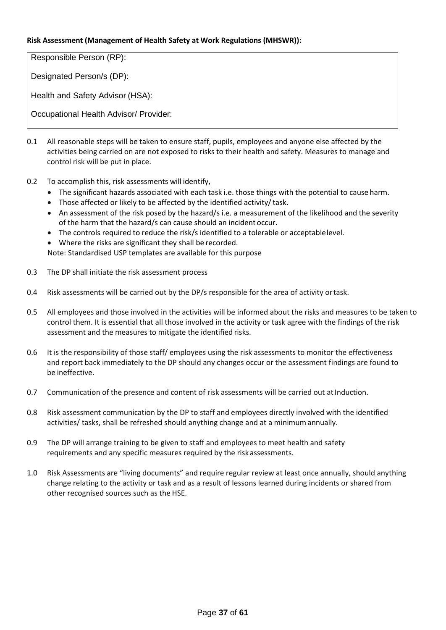#### **Risk Assessment (Management of Health Safety at Work Regulations (MHSWR)):**

Responsible Person (RP):

Designated Person/s (DP):

Health and Safety Advisor (HSA):

Occupational Health Advisor/ Provider:

- 0.1 All reasonable steps will be taken to ensure staff, pupils, employees and anyone else affected by the activities being carried on are not exposed to risks to their health and safety. Measures to manage and control risk will be put in place.
- 0.2 To accomplish this, risk assessments will identify,
	- The significant hazards associated with each task i.e. those things with the potential to cause harm.
	- Those affected or likely to be affected by the identified activity/task.
	- An assessment of the risk posed by the hazard/s i.e. a measurement of the likelihood and the severity of the harm that the hazard/s can cause should an incident occur.
	- The controls required to reduce the risk/s identified to a tolerable or acceptablelevel.
	- Where the risks are significant they shall be recorded.

Note: Standardised USP templates are available for this purpose

- 0.3 The DP shall initiate the risk assessment process
- 0.4 Risk assessments will be carried out by the DP/s responsible for the area of activity ortask.
- 0.5 All employees and those involved in the activities will be informed about the risks and measures to be taken to control them. It is essential that all those involved in the activity or task agree with the findings of the risk assessment and the measures to mitigate the identified risks.
- 0.6 It is the responsibility of those staff/ employees using the risk assessments to monitor the effectiveness and report back immediately to the DP should any changes occur or the assessment findings are found to be ineffective.
- 0.7 Communication of the presence and content of risk assessments will be carried out at Induction.
- 0.8 Risk assessment communication by the DP to staff and employees directly involved with the identified activities/ tasks, shall be refreshed should anything change and at a minimumannually.
- 0.9 The DP will arrange training to be given to staff and employees to meet health and safety requirements and any specific measures required by the riskassessments.
- 1.0 Risk Assessments are "living documents" and require regular review at least once annually, should anything change relating to the activity or task and as a result of lessons learned during incidents or shared from other recognised sources such as the HSE.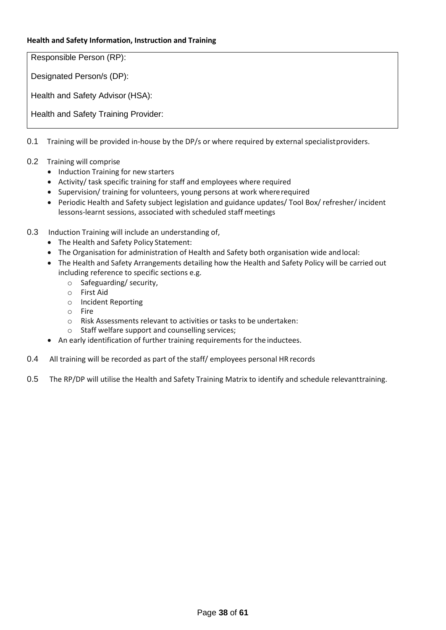#### **Health and Safety Information, Instruction and Training**

Responsible Person (RP):

Designated Person/s (DP):

Health and Safety Advisor (HSA):

Health and Safety Training Provider:

0.1 Training will be provided in-house by the DP/s or where required by external specialistproviders.

- 0.2 Training will comprise
	- Induction Training for new starters
	- Activity/ task specific training for staff and employees where required
	- Supervision/ training for volunteers, young persons at work whererequired
	- Periodic Health and Safety subject legislation and guidance updates/ Tool Box/ refresher/ incident lessons-learnt sessions, associated with scheduled staff meetings
- 0.3 Induction Training will include an understanding of,
	- The Health and Safety Policy Statement:
	- The Organisation for administration of Health and Safety both organisation wide andlocal:
	- The Health and Safety Arrangements detailing how the Health and Safety Policy will be carried out including reference to specific sections e.g.
		- o Safeguarding/ security,
		- o First Aid
		- o Incident Reporting
		- o Fire
		- o Risk Assessments relevant to activities or tasks to be undertaken:
		- o Staff welfare support and counselling services;
	- An early identification of further training requirements for the inductees.
- 0.4 All training will be recorded as part of the staff/ employees personal HR records
- 0.5 The RP/DP will utilise the Health and Safety Training Matrix to identify and schedule relevanttraining.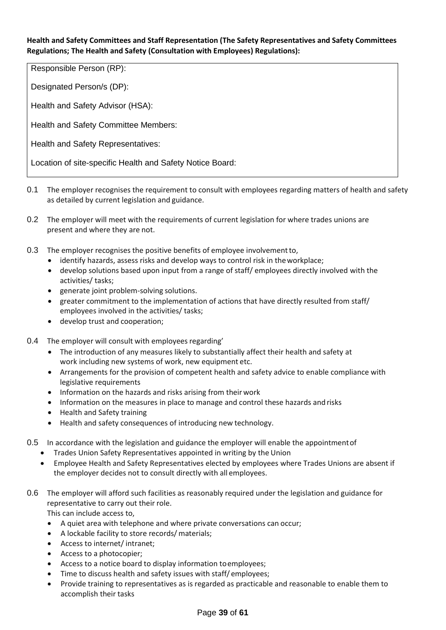**Health and Safety Committees and Staff Representation (The Safety Representatives and Safety Committees Regulations; The Health and Safety (Consultation with Employees) Regulations):**

Responsible Person (RP):

Designated Person/s (DP):

Health and Safety Advisor (HSA):

Health and Safety Committee Members:

Health and Safety Representatives:

Location of site-specific Health and Safety Notice Board:

- 0.1 The employer recognises the requirement to consult with employees regarding matters of health and safety as detailed by current legislation and guidance.
- 0.2 The employer will meet with the requirements of current legislation for where trades unions are present and where they are not.
- 0.3 The employer recognises the positive benefits of employee involvement to,
	- identify hazards, assess risks and develop ways to control risk in theworkplace;
	- develop solutions based upon input from a range of staff/ employees directly involved with the activities/ tasks;
	- generate joint problem-solving solutions.
	- greater commitment to the implementation of actions that have directly resulted from staff/ employees involved in the activities/ tasks;
	- develop trust and cooperation;
- 0.4 The employer will consult with employees regarding'
	- The introduction of any measures likely to substantially affect their health and safety at work including new systems of work, new equipment etc.
	- Arrangements for the provision of competent health and safety advice to enable compliance with legislative requirements
	- Information on the hazards and risks arising from their work
	- Information on the measures in place to manage and control these hazards and risks
	- Health and Safety training
	- Health and safety consequences of introducing new technology.
- 0.5 In accordance with the legislation and guidance the employer will enable the appointment of
	- Trades Union Safety Representatives appointed in writing by the Union
	- Employee Health and Safety Representatives elected by employees where Trades Unions are absent if the employer decides not to consult directly with all employees.
- 0.6 The employer will afford such facilities as reasonably required under the legislation and guidance for representative to carry out their role.

This can include access to,

- A quiet area with telephone and where private conversations can occur;
- A lockable facility to store records/ materials;
- Access to internet/ intranet;
- Access to a photocopier;
- Access to a notice board to display information toemployees;
- Time to discuss health and safety issues with staff/ employees;
- Provide training to representatives as is regarded as practicable and reasonable to enable them to accomplish their tasks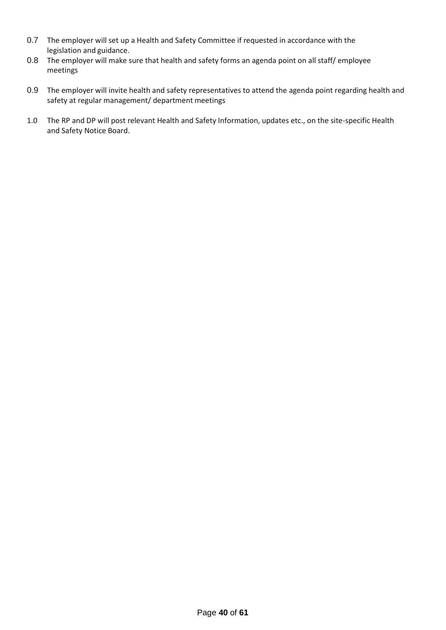- 0.7 The employer will set up a Health and Safety Committee if requested in accordance with the legislation and guidance.
- 0.8 The employer will make sure that health and safety forms an agenda point on all staff/ employee meetings
- 0.9 The employer will invite health and safety representatives to attend the agenda point regarding health and safety at regular management/ department meetings
- 1.0 The RP and DP will post relevant Health and Safety Information, updates etc., on the site-specific Health and Safety Notice Board.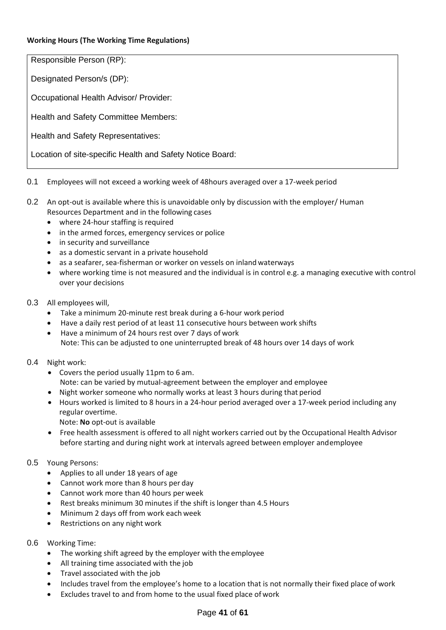#### **Working Hours (The Working Time Regulations)**

Responsible Person (RP):

Designated Person/s (DP):

Occupational Health Advisor/ Provider:

Health and Safety Committee Members:

Health and Safety Representatives:

Location of site-specific Health and Safety Notice Board:

#### 0.1 Employees will not exceed a working week of 48hours averaged over a 17-week period

- 0.2 An opt-out is available where this is unavoidable only by discussion with the employer/ Human Resources Department and in the following cases
	- where 24-hour staffing is required
	- in the armed forces, emergency services or police
	- in security and surveillance
	- as a domestic servant in a private household
	- as a seafarer, sea-fisherman or worker on vessels on inland waterways
	- where working time is not measured and the individual is in control e.g. a managing executive with control over your decisions

#### 0.3 All employees will,

- Take a minimum 20-minute rest break during a 6-hour work period
- Have a daily rest period of at least 11 consecutive hours between work shifts
- Have a minimum of 24 hours rest over 7 days of work Note: This can be adjusted to one uninterrupted break of 48 hours over 14 days of work

#### 0.4 Night work:

- Covers the period usually 11pm to 6 am. Note: can be varied by mutual-agreement between the employer and employee
- Night worker someone who normally works at least 3 hours during that period
- Hours worked is limited to 8 hours in a 24-hour period averaged over a 17-week period including any regular overtime.
	- Note: **No** opt-out is available
- Free health assessment is offered to all night workers carried out by the Occupational Health Advisor before starting and during night work at intervals agreed between employer andemployee

#### 0.5 Young Persons:

- Applies to all under 18 years of age
- Cannot work more than 8 hours per day
- Cannot work more than 40 hours per week
- Rest breaks minimum 30 minutes if the shift is longer than 4.5 Hours
- Minimum 2 days off from work each week
- Restrictions on any night work
- 0.6 Working Time:
	- The working shift agreed by the employer with the employee
	- All training time associated with the job
	- Travel associated with the job
	- Includes travel from the employee's home to a location that is not normally their fixed place of work
	- Excludes travel to and from home to the usual fixed place of work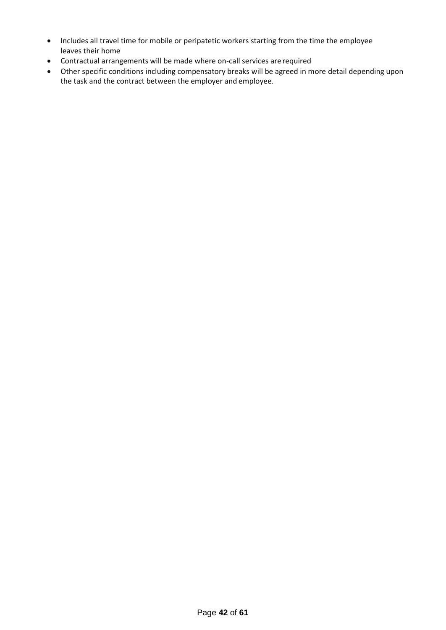- Includes all travel time for mobile or peripatetic workers starting from the time the employee leaves their home
- Contractual arrangements will be made where on-call services are required
- Other specific conditions including compensatory breaks will be agreed in more detail depending upon the task and the contract between the employer and employee.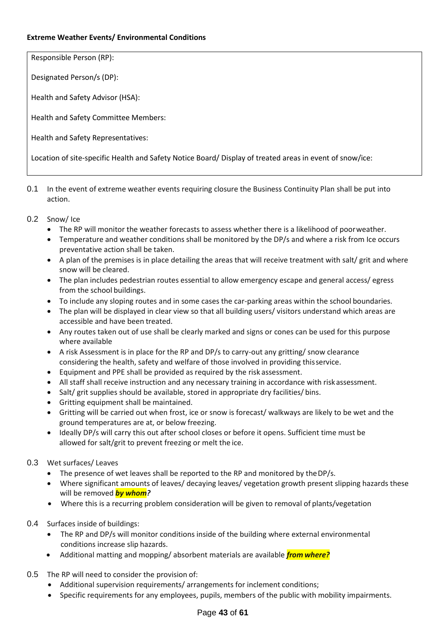#### **Extreme Weather Events/ Environmental Conditions**

Responsible Person (RP):

Designated Person/s (DP):

Health and Safety Advisor (HSA):

Health and Safety Committee Members:

Health and Safety Representatives:

Location of site-specific Health and Safety Notice Board/ Display of treated areas in event of snow/ice:

0.1 In the event of extreme weather events requiring closure the Business Continuity Plan shall be put into action.

#### 0.2 Snow/ Ice

- The RP will monitor the weather forecasts to assess whether there is a likelihood of poorweather.
- Temperature and weather conditions shall be monitored by the DP/s and where a risk from Ice occurs preventative action shall be taken.
- A plan of the premises is in place detailing the areas that will receive treatment with salt/ grit and where snow will be cleared.
- The plan includes pedestrian routes essential to allow emergency escape and general access/ egress from the school buildings.
- To include any sloping routes and in some cases the car-parking areas within the school boundaries.
- The plan will be displayed in clear view so that all building users/ visitors understand which areas are accessible and have been treated.
- Any routes taken out of use shall be clearly marked and signs or cones can be used for this purpose where available
- A risk Assessment is in place for the RP and DP/s to carry-out any gritting/ snow clearance considering the health, safety and welfare of those involved in providing thisservice.
- Equipment and PPE shall be provided as required by the risk assessment.
- All staff shall receive instruction and any necessary training in accordance with riskassessment.
- Salt/ grit supplies should be available, stored in appropriate dry facilities/ bins.
- Gritting equipment shall be maintained.
- Gritting will be carried out when frost, ice or snow is forecast/ walkways are likely to be wet and the ground temperatures are at, or below freezing.
- Ideally DP/s will carry this out after school closes or before it opens. Sufficient time must be allowed for salt/grit to prevent freezing or melt the ice.

#### 0.3 Wet surfaces/ Leaves

- The presence of wet leaves shall be reported to the RP and monitored by the DP/s.
- Where significant amounts of leaves/ decaying leaves/ vegetation growth present slipping hazards these will be removed *by whom?*
- Where this is a recurring problem consideration will be given to removal of plants/vegetation
- 0.4 Surfaces inside of buildings:
	- The RP and DP/s will monitor conditions inside of the building where external environmental conditions increase slip hazards.
	- Additional matting and mopping/ absorbent materials are available *from where?*
- 0.5 The RP will need to consider the provision of:
	- Additional supervision requirements/ arrangements for inclement conditions;
	- Specific requirements for any employees, pupils, members of the public with mobility impairments.

#### Page **43** of **61**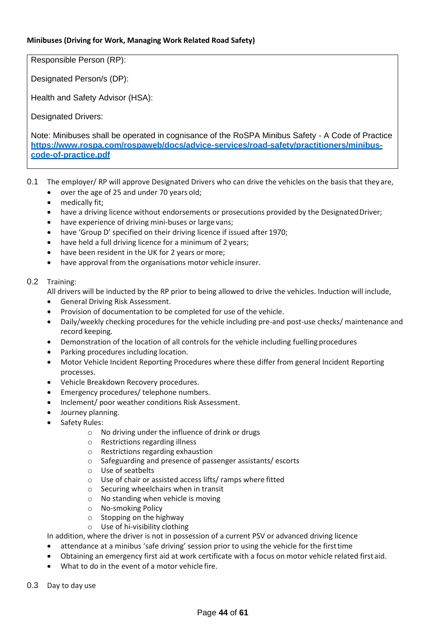#### **Minibuses (Driving for Work, Managing Work Related Road Safety)**

Responsible Person (RP):

Designated Person/s (DP):

Health and Safety Advisor (HSA):

Designated Drivers:

Note: Minibuses shall be operated in cognisance of the RoSPA Minibus Safety - A Code of Practice **[https://www.rospa.com/rospaweb/docs/advice-services/road-safety/practitioners/minibus](https://www.rospa.com/rospaweb/docs/advice-services/road-safety/practitioners/minibus-code-of-practice.pdf)[code-of-practice.pdf](https://www.rospa.com/rospaweb/docs/advice-services/road-safety/practitioners/minibus-code-of-practice.pdf)**

- 0.1 The employer/ RP will approve Designated Drivers who can drive the vehicles on the basis that they are,
	- over the age of 25 and under 70 years old;
	- medically fit;
	- have a driving licence without endorsements or prosecutions provided by the Designated Driver;
	- have experience of driving mini-buses or large vans;
	- have 'Group D' specified on their driving licence if issued after 1970;
	- have held a full driving licence for a minimum of 2 years;
	- have been resident in the UK for 2 years or more;
	- have approval from the organisations motor vehicle insurer.

#### 0.2 Training:

All drivers will be inducted by the RP prior to being allowed to drive the vehicles. Induction will include,

- General Driving Risk Assessment.
- Provision of documentation to be completed for use of the vehicle.
- Daily/weekly checking procedures for the vehicle including pre-and post-use checks/ maintenance and record keeping.
- Demonstration of the location of all controls for the vehicle including fuelling procedures
- Parking procedures including location.
- Motor Vehicle Incident Reporting Procedures where these differ from general Incident Reporting processes.
- Vehicle Breakdown Recovery procedures.
- Emergency procedures/ telephone numbers.
- Inclement/ poor weather conditions Risk Assessment.
- Journey planning.
- Safety Rules:
	- o No driving under the influence of drink or drugs
	- o Restrictions regarding illness
	- o Restrictions regarding exhaustion
	- o Safeguarding and presence of passenger assistants/ escorts
	- o Use of seatbelts
	- o Use of chair or assisted access lifts/ ramps where fitted
	- o Securing wheelchairs when in transit
	- o No standing when vehicle is moving
	- o No-smoking Policy
	- o Stopping on the highway
	- o Use of hi-visibility clothing

In addition, where the driver is not in possession of a current PSV or advanced driving licence

- attendance at a minibus 'safe driving' session prior to using the vehicle for the first time
- Obtaining an emergency first aid at work certificate with a focus on motor vehicle related first aid.
- What to do in the event of a motor vehicle fire.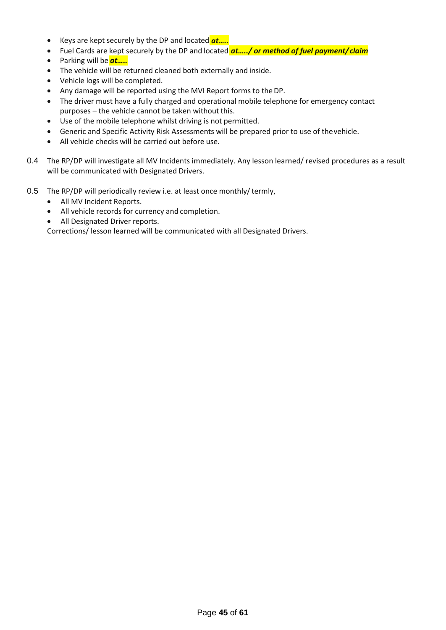- Keys are kept securely by the DP and located *at…..*
- Fuel Cards are kept securely by the DP and located <mark>at…../ or method of fuel payment/ claim</mark>
- Parking will be *at…..*
- The vehicle will be returned cleaned both externally and inside.
- Vehicle logs will be completed.
- Any damage will be reported using the MVI Report forms to theDP.
- The driver must have a fully charged and operational mobile telephone for emergency contact purposes – the vehicle cannot be taken without this.
- Use of the mobile telephone whilst driving is not permitted.
- Generic and Specific Activity Risk Assessments will be prepared prior to use of thevehicle.
- All vehicle checks will be carried out before use.
- 0.4 The RP/DP will investigate all MV Incidents immediately. Any lesson learned/ revised procedures as a result will be communicated with Designated Drivers.
- 0.5 The RP/DP will periodically review i.e. at least once monthly/ termly,
	- All MV Incident Reports.
	- All vehicle records for currency and completion.
	- All Designated Driver reports.

Corrections/ lesson learned will be communicated with all Designated Drivers.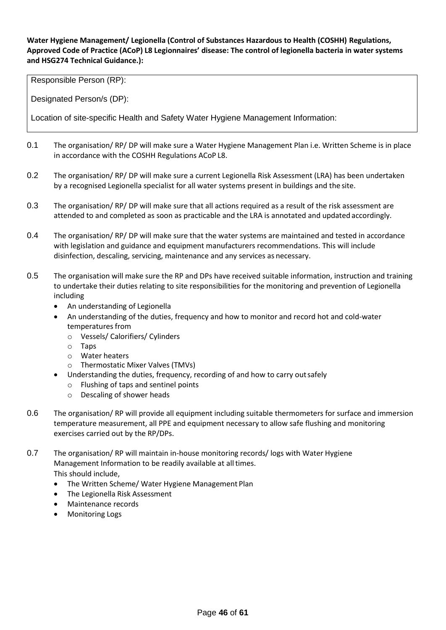#### **Water Hygiene Management/ Legionella (Control of Substances Hazardous to Health (COSHH) Regulations, Approved Code of Practice (ACoP) L8 Legionnaires' disease: The control of legionella bacteria in water systems and HSG274 Technical Guidance.):**

Responsible Person (RP):

Designated Person/s (DP):

Location of site-specific Health and Safety Water Hygiene Management Information:

- 0.1 The organisation/ RP/ DP will make sure a Water Hygiene Management Plan i.e. Written Scheme is in place in accordance with the COSHH Regulations ACoP L8.
- 0.2 The organisation/RP/DP will make sure a current Legionella Risk Assessment (LRA) has been undertaken by a recognised Legionella specialist for all water systems present in buildings and the site.
- 0.3 The organisation/ RP/ DP will make sure that all actions required as a result of the risk assessment are attended to and completed as soon as practicable and the LRA is annotated and updated accordingly.
- 0.4 The organisation/RP/DP will make sure that the water systems are maintained and tested in accordance with legislation and guidance and equipment manufacturers recommendations. This will include disinfection, descaling, servicing, maintenance and any services as necessary.
- 0.5 The organisation will make sure the RP and DPs have received suitable information, instruction and training to undertake their duties relating to site responsibilities for the monitoring and prevention of Legionella including
	- An understanding of Legionella
	- An understanding of the duties, frequency and how to monitor and record hot and cold-water temperatures from
		- o Vessels/ Calorifiers/ Cylinders
		- o Taps
		- o Water heaters
		- o Thermostatic Mixer Valves (TMVs)
	- Understanding the duties, frequency, recording of and how to carry outsafely
		- o Flushing of taps and sentinel points
		- o Descaling of shower heads
- 0.6 The organisation/ RP will provide all equipment including suitable thermometers for surface and immersion temperature measurement, all PPE and equipment necessary to allow safe flushing and monitoring exercises carried out by the RP/DPs.

0.7 The organisation/ RP will maintain in-house monitoring records/ logs with Water Hygiene Management Information to be readily available at alltimes. This should include,

- The Written Scheme/ Water Hygiene Management Plan
- The Legionella Risk Assessment
- Maintenance records
- Monitoring Logs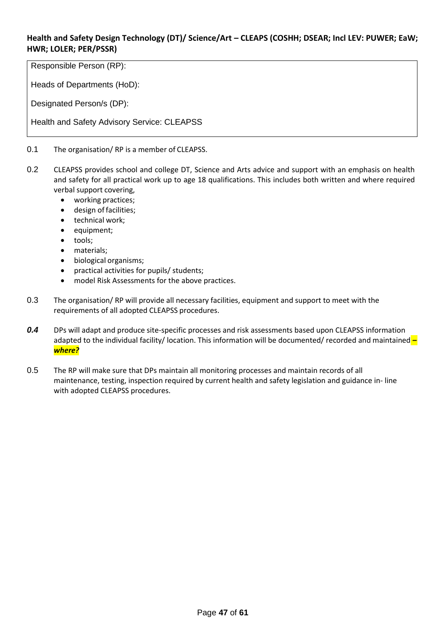# **Health and Safety Design Technology (DT)/ Science/Art – CLEAPS (COSHH; DSEAR; Incl LEV: PUWER; EaW; HWR; LOLER; PER/PSSR)**

Responsible Person (RP):

Heads of Departments (HoD):

Designated Person/s (DP):

Health and Safety Advisory Service: CLEAPSS

#### 0.1 The organisation/ RP is a member of CLEAPSS.

- 0.2 CLEAPSS provides school and college DT, Science and Arts advice and support with an emphasis on health and safety for all practical work up to age 18 qualifications. This includes both written and where required verbal support covering,
	- working practices;
	- design offacilities;
	- technical work;
	- equipment;
	- tools;
	- materials;
	- biological organisms;
	- practical activities for pupils/ students;
	- model Risk Assessments for the above practices.
- 0.3 The organisation/ RP will provide all necessary facilities, equipment and support to meet with the requirements of all adopted CLEAPSS procedures.
- *0.4* DPs will adapt and produce site-specific processes and risk assessments based upon CLEAPSS information adapted to the individual facility/ location. This information will be documented/ recorded and maintained *– where?*
- 0.5 The RP will make sure that DPs maintain all monitoring processes and maintain records of all maintenance, testing, inspection required by current health and safety legislation and guidance in- line with adopted CLEAPSS procedures.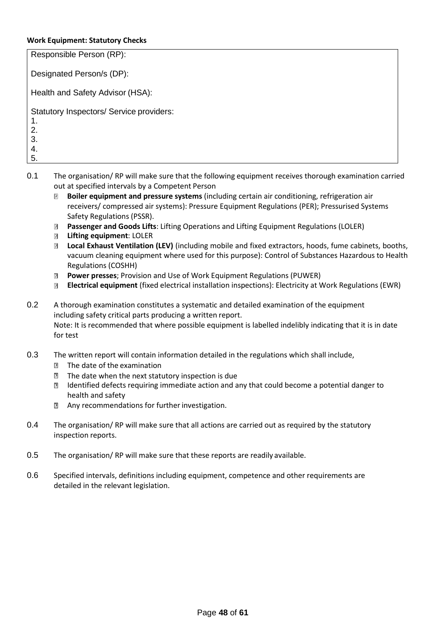#### **Work Equipment: Statutory Checks**

| Responsible Person (RP):                                               |
|------------------------------------------------------------------------|
| Designated Person/s (DP):                                              |
| Health and Safety Advisor (HSA):                                       |
| Statutory Inspectors/ Service providers:<br>1.<br>2.<br>3.<br>4.<br>5. |

- 0.1 The organisation/RP will make sure that the following equipment receives thorough examination carried out at specified intervals by a Competent Person
	- $\overline{2}$  **Boiler equipment and pressure systems** (including certain air conditioning, refrigeration air receivers/ compressed air systems): Pressure Equipment Regulations (PER); Pressurised Systems Safety Regulations (PSSR).
	- **Passenger and Goods Lifts**: Lifting Operations and Lifting Equipment Regulations (LOLER)  $\overline{?}$
	- **Lifting equipment**: LOLER
	- **Local Exhaust Ventilation (LEV)** (including mobile and fixed extractors, hoods, fume cabinets, booths, vacuum cleaning equipment where used for this purpose): Control of Substances Hazardous to Health Regulations (COSHH)
	- **Power presses**; Provision and Use of Work Equipment Regulations (PUWER)  $\overline{2}$
	- **Electrical equipment** (fixed electrical installation inspections): Electricity at Work Regulations (EWR)
- 0.2 A thorough examination constitutes a systematic and detailed examination of the equipment including safety critical parts producing a written report. Note: It is recommended that where possible equipment is labelled indelibly indicating that it is in date for test
- 0.3 The written report will contain information detailed in the regulations which shall include,
	- **The date of the examination**
	- $\mathbb D$  The date when the next statutory inspection is due
	- **Identified defects requiring immediate action and any that could become a potential danger to** health and safety
	- **E** Any recommendations for further investigation.
- 0.4 The organisation/RP will make sure that all actions are carried out as required by the statutory inspection reports.
- 0.5 The organisation/ RP will make sure that these reports are readily available.
- 0.6 Specified intervals, definitions including equipment, competence and other requirements are detailed in the relevant legislation.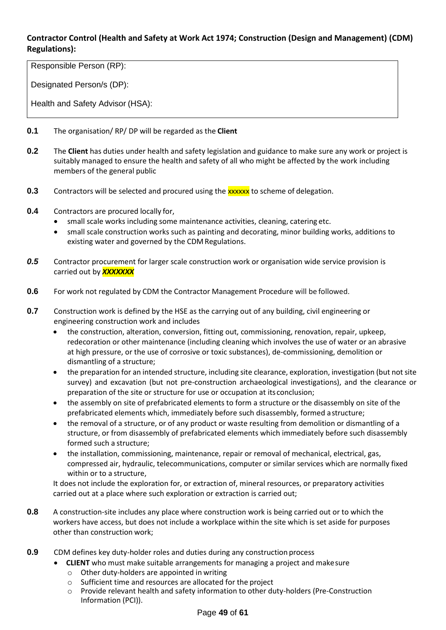# **Contractor Control (Health and Safety at Work Act 1974; Construction (Design and Management) (CDM) Regulations):**

Responsible Person (RP):

Designated Person/s (DP):

Health and Safety Advisor (HSA):

- **0.1** The organisation/ RP/ DP will be regarded as the **Client**
- **0.2** The **Client** has duties under health and safety legislation and guidance to make sure any work or project is suitably managed to ensure the health and safety of all who might be affected by the work including members of the general public
- **0.3** Contractors will be selected and procured using the **xxxxx** to scheme of delegation.
- **0.4** Contractors are procured locally for,
	- small scale works including some maintenance activities, cleaning, catering etc.
	- small scale construction works such as painting and decorating, minor building works, additions to existing water and governed by the CDM Regulations.
- *0.5* Contractor procurement for larger scale construction work or organisation wide service provision is carried out by *XXXXXXX*
- **0.6** For work not regulated by CDM the Contractor Management Procedure will be followed.
- **0.7** Construction work is defined by the HSE as the carrying out of any building, civil engineering or engineering construction work and includes
	- the construction, alteration, conversion, fitting out, commissioning, renovation, repair, upkeep, redecoration or other maintenance (including cleaning which involves the use of water or an abrasive at high pressure, or the use of corrosive or toxic substances), de-commissioning, demolition or dismantling of a structure;
	- the preparation for an intended structure, including site clearance, exploration, investigation (but not site survey) and excavation (but not pre-construction archaeological investigations), and the clearance or preparation of the site or structure for use or occupation at its conclusion;
	- the assembly on site of prefabricated elements to form a structure or the disassembly on site of the prefabricated elements which, immediately before such disassembly, formed astructure;
	- the removal of a structure, or of any product or waste resulting from demolition or dismantling of a structure, or from disassembly of prefabricated elements which immediately before such disassembly formed such a structure;
	- the installation, commissioning, maintenance, repair or removal of mechanical, electrical, gas, compressed air, hydraulic, telecommunications, computer or similar services which are normally fixed within or to a structure,

It does not include the exploration for, or extraction of, mineral resources, or preparatory activities carried out at a place where such exploration or extraction is carried out;

- **0.8** A construction-site includes any place where construction work is being carried out or to which the workers have access, but does not include a workplace within the site which is set aside for purposes other than construction work;
- **0.9** CDM defines key duty-holder roles and duties during any construction process
	- **CLIENT** who must make suitable arrangements for managing a project and makesure
	- o Other duty-holders are appointed in writing
	- o Sufficient time and resources are allocated for the project
	- o Provide relevant health and safety information to other duty-holders (Pre-Construction Information (PCI)).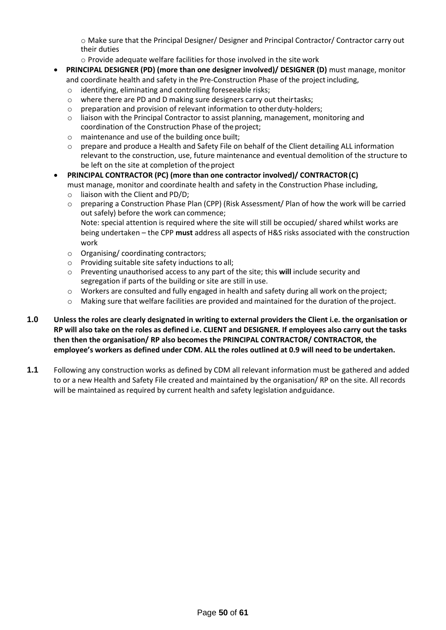o Make sure that the Principal Designer/ Designer and Principal Contractor/ Contractor carry out their duties

o Provide adequate welfare facilities for those involved in the site work

- **PRINCIPAL DESIGNER (PD) (more than one designer involved)/ DESIGNER (D)** must manage, monitor and coordinate health and safety in the Pre-Construction Phase of the projectincluding,
	- o identifying, eliminating and controlling foreseeable risks;
	- o where there are PD and D making sure designers carry out theirtasks;
	- o preparation and provision of relevant information to otherduty-holders;
	- $\circ$  liaison with the Principal Contractor to assist planning, management, monitoring and coordination of the Construction Phase of the project;
	- o maintenance and use of the building once built;
	- $\circ$  prepare and produce a Health and Safety File on behalf of the Client detailing ALL information relevant to the construction, use, future maintenance and eventual demolition of the structure to be left on the site at completion of the project
- **PRINCIPAL CONTRACTOR (PC) (more than one contractor involved)/ CONTRACTOR(C)** must manage, monitor and coordinate health and safety in the Construction Phase including,
	- o liaison with the Client and PD/D;
	- o preparing a Construction Phase Plan (CPP) (Risk Assessment/ Plan of how the work will be carried out safely) before the work can commence;

Note: special attention is required where the site will still be occupied/ shared whilst works are being undertaken – the CPP **must** address all aspects of H&S risks associated with the construction work

- o Organising/ coordinating contractors;
- o Providing suitable site safety inductions to all;
- o Preventing unauthorised access to any part of the site; this **will** include security and segregation if parts of the building or site are still in use.
- o Workers are consulted and fully engaged in health and safety during all work on the project;
- o Making sure that welfare facilities are provided and maintained for the duration of the project.
- **1.0 Unless the roles are clearly designated in writing to external providers the Client i.e. the organisation or RP will also take on the roles as defined i.e. CLIENT and DESIGNER. If employees also carry out the tasks then then the organisation/ RP also becomes the PRINCIPAL CONTRACTOR/ CONTRACTOR, the employee's workers as defined under CDM. ALL the roles outlined at 0.9 will need to be undertaken.**
- **1.1** Following any construction works as defined by CDM all relevant information must be gathered and added to or a new Health and Safety File created and maintained by the organisation/ RP on the site. All records will be maintained as required by current health and safety legislation andguidance.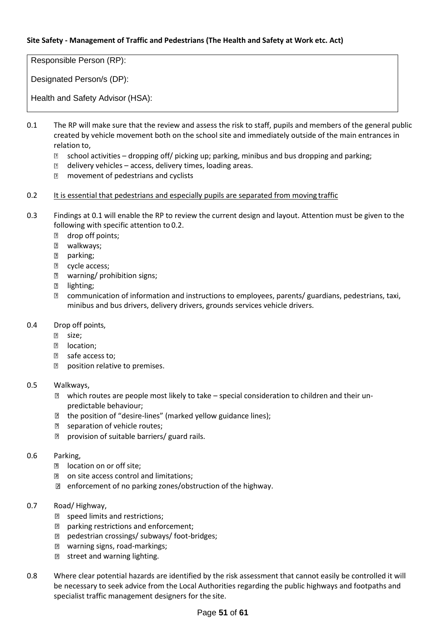#### **Site Safety - Management of Traffic and Pedestrians (The Health and Safety at Work etc. Act)**

Responsible Person (RP):

Designated Person/s (DP):

Health and Safety Advisor (HSA):

- 0.1 The RP will make sure that the review and assess the risk to staff, pupils and members of the general public created by vehicle movement both on the school site and immediately outside of the main entrances in relation to,
	- $\overline{R}$ school activities – dropping off/ picking up; parking, minibus and bus dropping and parking;
	- $\Box$  delivery vehicles access, delivery times, loading areas.
	- **n** movement of pedestrians and cyclists
- 0.2 It is essential that pedestrians and especially pupils are separated from moving traffic
- 0.3 Findings at 0.1 will enable the RP to review the current design and layout. Attention must be given to the following with specific attention to 0.2.
	- **n** drop off points;
	- walkways;
	- **图** parking;
	- **E** cycle access;
	- warning/ prohibition signs;
	- **2** lighting;
	- communication of information and instructions to employees, parents/ guardians, pedestrians, taxi, minibus and bus drivers, delivery drivers, grounds services vehicle drivers.
- 0.4 Drop off points,
	- **Z** size;
	- **2** location;
	- **Z** safe access to;
	- **P** position relative to premises.
- 0.5 Walkways,
	- which routes are people most likely to take special consideration to children and their unpredictable behaviour;
	- $\mathbb D$  the position of "desire-lines" (marked yellow guidance lines);
	- **B** separation of vehicle routes;
	- **P** provision of suitable barriers/ guard rails.

#### 0.6 Parking,

- **D** location on or off site;
- **n** on site access control and limitations;
- **E** enforcement of no parking zones/obstruction of the highway.
- 0.7 Road/ Highway,
	- **2** speed limits and restrictions;
	- **P** parking restrictions and enforcement;
	- pedestrian crossings/ subways/ foot-bridges;
	- warning signs, road-markings;
	- **1** street and warning lighting.
- 0.8 Where clear potential hazards are identified by the risk assessment that cannot easily be controlled it will be necessary to seek advice from the Local Authorities regarding the public highways and footpaths and specialist traffic management designers for the site.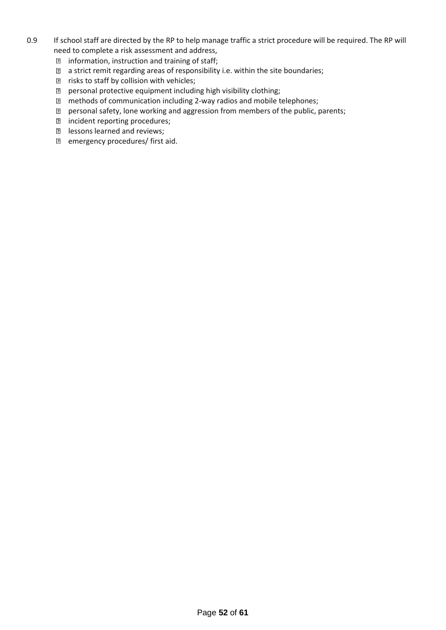- 0.9 If school staff are directed by the RP to help manage traffic a strict procedure will be required. The RP will need to complete a risk assessment and address,
	- $\mathbb D$  information, instruction and training of staff;
	- a strict remit regarding areas of responsibility i.e. within the site boundaries;
	- $\mathbb D$  risks to staff by collision with vehicles;
	- personal protective equipment including high visibility clothing;
	- methods of communication including 2-way radios and mobile telephones;
	- personal safety, lone working and aggression from members of the public, parents;
	- incident reporting procedures;
	- lessons learned and reviews;
	- **E** emergency procedures/ first aid.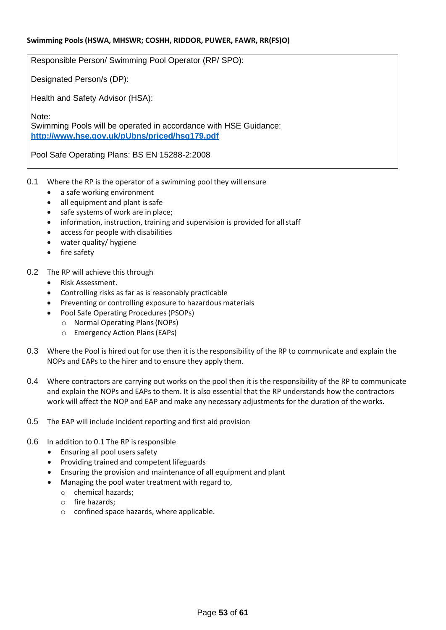Responsible Person/ Swimming Pool Operator (RP/ SPO):

Designated Person/s (DP):

Health and Safety Advisor (HSA):

Note: Swimming Pools will be operated in accordance with HSE Guidance: **<http://www.hse.gov.uk/pUbns/priced/hsg179.pdf>**

Pool Safe Operating Plans: BS EN 15288-2:2008

- 0.1 Where the RP is the operator of a swimming pool they will ensure
	- a safe working environment
	- all equipment and plant is safe
	- safe systems of work are in place;
	- information, instruction, training and supervision is provided for all staff
	- access for people with disabilities
	- water quality/ hygiene
	- fire safety
- 0.2 The RP will achieve this through
	- Risk Assessment.
	- Controlling risks as far as is reasonably practicable
	- Preventing or controlling exposure to hazardous materials
	- Pool Safe Operating Procedures (PSOPs)
		- o Normal Operating Plans(NOPs)
			- o Emergency Action Plans(EAPs)
- 0.3 Where the Pool is hired out for use then it is the responsibility of the RP to communicate and explain the NOPs and EAPs to the hirer and to ensure they apply them.
- 0.4 Where contractors are carrying out works on the pool then it is the responsibility of the RP to communicate and explain the NOPs and EAPs to them. It is also essential that the RP understands how the contractors work will affect the NOP and EAP and make any necessary adjustments for the duration of theworks.
- 0.5 The EAP will include incident reporting and first aid provision
- 0.6 In addition to 0.1 The RP isresponsible
	- Ensuring all pool users safety
	- Providing trained and competent lifeguards
	- Ensuring the provision and maintenance of all equipment and plant
	- Managing the pool water treatment with regard to,
		- o chemical hazards;
		- o fire hazards;
		- o confined space hazards, where applicable.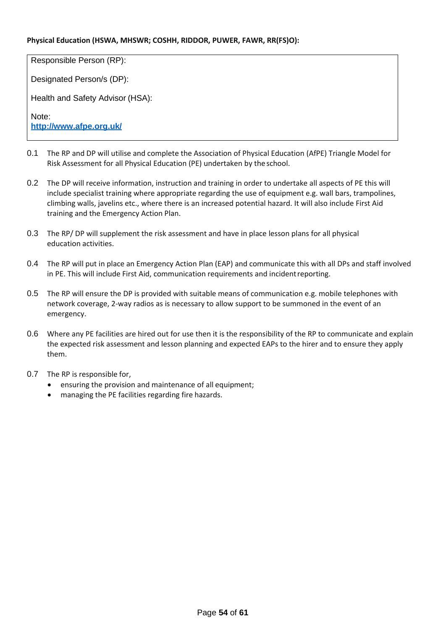#### **Physical Education (HSWA, MHSWR; COSHH, RIDDOR, PUWER, FAWR, RR(FS)O):**

Responsible Person (RP):

Designated Person/s (DP):

Health and Safety Advisor (HSA):

Note: **<http://www.afpe.org.uk/>**

- 0.1 The RP and DP will utilise and complete the Association of Physical Education (AfPE) Triangle Model for Risk Assessment for all Physical Education (PE) undertaken by the school.
- 0.2 The DP will receive information, instruction and training in order to undertake all aspects of PE this will include specialist training where appropriate regarding the use of equipment e.g. wall bars, trampolines, climbing walls, javelins etc., where there is an increased potential hazard. It will also include First Aid training and the Emergency Action Plan.
- 0.3 The RP/ DP will supplement the risk assessment and have in place lesson plans for all physical education activities.
- 0.4 The RP will put in place an Emergency Action Plan (EAP) and communicate this with all DPs and staff involved in PE. This will include First Aid, communication requirements and incidentreporting.
- 0.5 The RP will ensure the DP is provided with suitable means of communication e.g. mobile telephones with network coverage, 2-way radios as is necessary to allow support to be summoned in the event of an emergency.
- 0.6 Where any PE facilities are hired out for use then it is the responsibility of the RP to communicate and explain the expected risk assessment and lesson planning and expected EAPs to the hirer and to ensure they apply them.
- 0.7 The RP is responsible for,
	- ensuring the provision and maintenance of all equipment;
	- managing the PE facilities regarding fire hazards.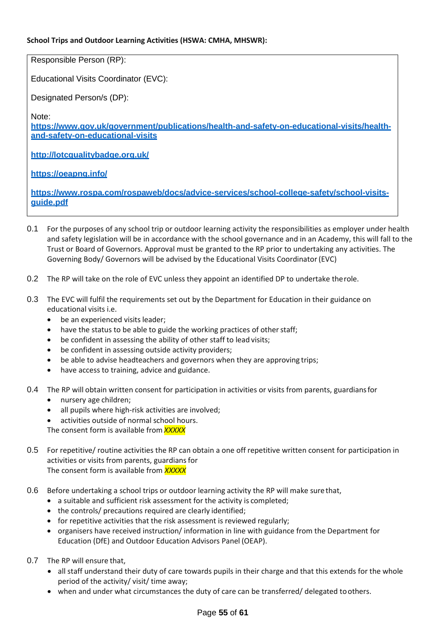#### **School Trips and Outdoor Learning Activities (HSWA: CMHA, MHSWR):**

Responsible Person (RP):

Educational Visits Coordinator (EVC):

Designated Person/s (DP):

Note:

**[https://www.gov.uk/government/publications/health-and-safety-on-educational-visits/health](https://www.gov.uk/government/publications/health-and-safety-on-educational-visits/health-and-safety-on-educational-visits)[and-safety-on-educational-visits](https://www.gov.uk/government/publications/health-and-safety-on-educational-visits/health-and-safety-on-educational-visits)**

**<http://lotcqualitybadge.org.uk/>**

**<https://oeapng.info/>**

**[https://www.rospa.com/rospaweb/docs/advice-services/school-college-safety/school-visits](https://www.rospa.com/rospaweb/docs/advice-services/school-college-safety/school-visits-guide.pdf)[guide.pdf](https://www.rospa.com/rospaweb/docs/advice-services/school-college-safety/school-visits-guide.pdf)**

- 0.1 For the purposes of any school trip or outdoor learning activity the responsibilities as employer under health and safety legislation will be in accordance with the school governance and in an Academy, this will fall to the Trust or Board of Governors. Approval must be granted to the RP prior to undertaking any activities. The Governing Body/ Governors will be advised by the Educational Visits Coordinator(EVC)
- 0.2 The RP will take on the role of EVC unless they appoint an identified DP to undertake therole.
- 0.3 The EVC will fulfil the requirements set out by the Department for Education in their guidance on educational visits i.e.
	- be an experienced visits leader;
	- have the status to be able to guide the working practices of other staff;
	- be confident in assessing the ability of other staff to lead visits;
	- be confident in assessing outside activity providers;
	- be able to advise headteachers and governors when they are approving trips;
	- have access to training, advice and guidance.
- 0.4 The RP will obtain written consent for participation in activities or visits from parents, guardians for
	- nursery age children;
	- all pupils where high-risk activities are involved;
	- activities outside of normal school hours.

The consent form is available from *XXXXX*

- 0.5 For repetitive/ routine activities the RP can obtain a one off repetitive written consent for participation in activities or visits from parents, guardians for The consent form is available from *XXXXX*
- 0.6 Before undertaking a school trips or outdoor learning activity the RP will make sure that,
	- a suitable and sufficient risk assessment for the activity is completed;
	- the controls/ precautions required are clearly identified;
	- for repetitive activities that the risk assessment is reviewed regularly;
	- organisers have received instruction/ information in line with guidance from the Department for Education (DfE) and Outdoor Education Advisors Panel (OEAP).
- 0.7 The RP will ensure that,
	- all staff understand their duty of care towards pupils in their charge and that this extends for the whole period of the activity/ visit/ time away;
	- when and under what circumstances the duty of care can be transferred/ delegated toothers.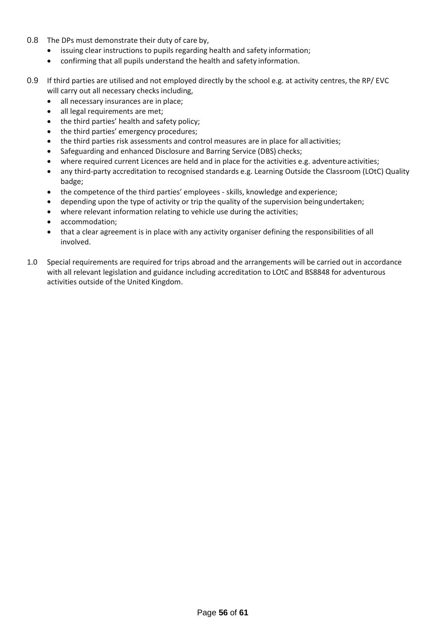- 0.8 The DPs must demonstrate their duty of care by,
	- issuing clear instructions to pupils regarding health and safety information;
	- confirming that all pupils understand the health and safety information.
- 0.9 If third parties are utilised and not employed directly by the school e.g. at activity centres, the RP/ EVC will carry out all necessary checks including,
	- all necessary insurances are in place;
	- all legal requirements are met;
	- the third parties' health and safety policy;
	- the third parties' emergency procedures;
	- the third parties risk assessments and control measures are in place for allactivities;
	- Safeguarding and enhanced Disclosure and Barring Service (DBS) checks;
	- where required current Licences are held and in place for the activities e.g. adventure activities;
	- any third-party accreditation to recognised standards e.g. Learning Outside the Classroom (LOtC) Quality badge;
	- the competence of the third parties' employees skills, knowledge and experience;
	- depending upon the type of activity or trip the quality of the supervision beingundertaken;
	- where relevant information relating to vehicle use during the activities;
	- accommodation;
	- that a clear agreement is in place with any activity organiser defining the responsibilities of all involved.
- 1.0 Special requirements are required for trips abroad and the arrangements will be carried out in accordance with all relevant legislation and guidance including accreditation to LOtC and BS8848 for adventurous activities outside of the United Kingdom.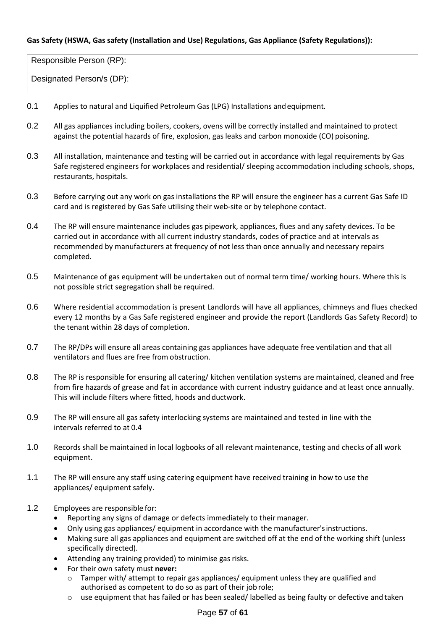#### **Gas Safety (HSWA, Gas safety (Installation and Use) Regulations, Gas Appliance (Safety Regulations)):**

Responsible Person (RP):

- 0.1 Applies to natural and Liquified Petroleum Gas (LPG) Installations andequipment.
- 0.2 All gas appliances including boilers, cookers, ovens will be correctly installed and maintained to protect against the potential hazards of fire, explosion, gas leaks and carbon monoxide (CO) poisoning.
- 0.3 All installation, maintenance and testing will be carried out in accordance with legal requirements by Gas Safe registered engineers for workplaces and residential/ sleeping accommodation including schools, shops, restaurants, hospitals.
- 0.3 Before carrying out any work on gas installations the RP will ensure the engineer has a current Gas Safe ID card and is registered by Gas Safe utilising their web-site or by telephone contact.
- 0.4 The RP will ensure maintenance includes gas pipework, appliances, flues and any safety devices. To be carried out in accordance with all current industry standards, codes of practice and at intervals as recommended by manufacturers at frequency of not less than once annually and necessary repairs completed.
- 0.5 Maintenance of gas equipment will be undertaken out of normal term time/ working hours. Where this is not possible strict segregation shall be required.
- 0.6 Where residential accommodation is present Landlords will have all appliances, chimneys and flues checked every 12 months by a Gas Safe registered engineer and provide the report (Landlords Gas Safety Record) to the tenant within 28 days of completion.
- 0.7 The RP/DPs will ensure all areas containing gas appliances have adequate free ventilation and that all ventilators and flues are free from obstruction.
- 0.8 The RP is responsible for ensuring all catering/ kitchen ventilation systems are maintained, cleaned and free from fire hazards of grease and fat in accordance with current industry guidance and at least once annually. This will include filters where fitted, hoods and ductwork.
- 0.9 The RP will ensure all gas safety interlocking systems are maintained and tested in line with the intervals referred to at 0.4
- 1.0 Records shall be maintained in local logbooks of all relevant maintenance, testing and checks of all work equipment.
- 1.1 The RP will ensure any staff using catering equipment have received training in how to use the appliances/ equipment safely.
- 1.2 Employees are responsible for:
	- Reporting any signs of damage or defects immediately to their manager.
	- Only using gas appliances/ equipment in accordance with the manufacturer's instructions.
	- Making sure all gas appliances and equipment are switched off at the end of the working shift (unless specifically directed).
	- Attending any training provided) to minimise gas risks.
	- For their own safety must **never:**
		- $\circ$  Tamper with/ attempt to repair gas appliances/ equipment unless they are qualified and authorised as competent to do so as part of their jobrole;
		- o use equipment that has failed or has been sealed/ labelled as being faulty or defective and taken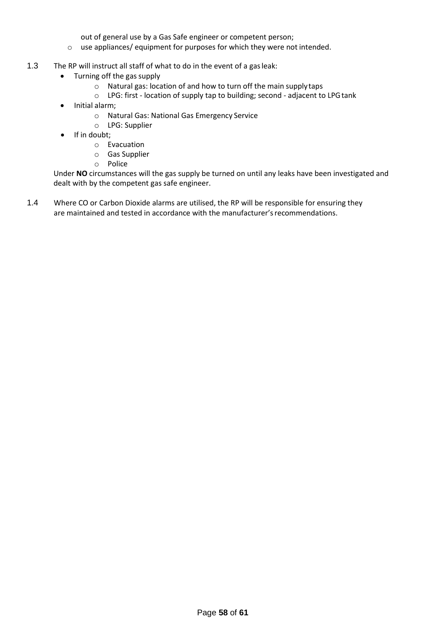out of general use by a Gas Safe engineer or competent person;

- o use appliances/ equipment for purposes for which they were not intended.
- 1.3 The RP will instruct all staff of what to do in the event of a gasleak:
	- Turning off the gas supply
		- o Natural gas: location of and how to turn off the main supplytaps
		- o LPG: first location of supply tap to building; second adjacent to LPGtank
	- Initial alarm;
		- o Natural Gas: National Gas Emergency Service
		- o LPG: Supplier
	- If in doubt:
		- o Evacuation
		- o Gas Supplier
		- o Police

Under **NO** circumstances will the gas supply be turned on until any leaks have been investigated and dealt with by the competent gas safe engineer.

1.4 Where CO or Carbon Dioxide alarms are utilised, the RP will be responsible for ensuring they are maintained and tested in accordance with the manufacturer's recommendations.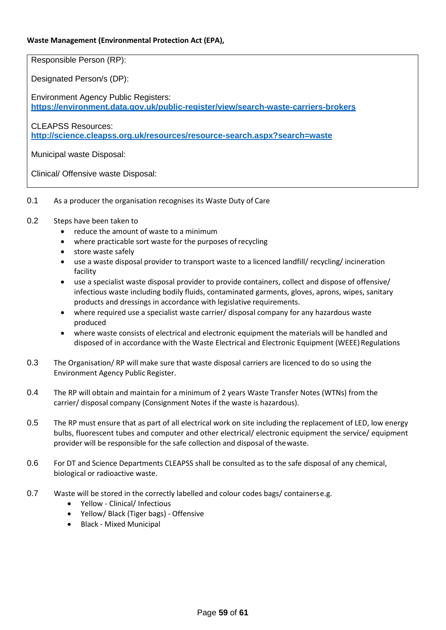#### **Waste Management (Environmental Protection Act (EPA),**

Responsible Person (RP):

Designated Person/s (DP):

Environment Agency Public Registers: **<https://environment.data.gov.uk/public-register/view/search-waste-carriers-brokers>**

CLEAPSS Resources: **<http://science.cleapss.org.uk/resources/resource-search.aspx?search=waste>**

Municipal waste Disposal:

Clinical/ Offensive waste Disposal:

- 0.1 As a producer the organisation recognises its Waste Duty of Care
- 0.2 Steps have been taken to
	- reduce the amount of waste to a minimum
	- where practicable sort waste for the purposes of recycling
	- store waste safely
	- use a waste disposal provider to transport waste to a licenced landfill/ recycling/ incineration facility
	- use a specialist waste disposal provider to provide containers, collect and dispose of offensive/ infectious waste including bodily fluids, contaminated garments, gloves, aprons, wipes, sanitary products and dressings in accordance with legislative requirements.
	- where required use a specialist waste carrier/ disposal company for any hazardous waste produced
	- where waste consists of electrical and electronic equipment the materials will be handled and disposed of in accordance with the Waste Electrical and Electronic Equipment (WEEE) Regulations
- 0.3 The Organisation/ RP will make sure that waste disposal carriers are licenced to do so using the Environment Agency Public Register.
- 0.4 The RP will obtain and maintain for a minimum of 2 years Waste Transfer Notes (WTNs) from the carrier/ disposal company (Consignment Notes if the waste is hazardous).
- 0.5 The RP must ensure that as part of all electrical work on site including the replacement of LED, low energy bulbs, fluorescent tubes and computer and other electrical/ electronic equipment the service/ equipment provider will be responsible for the safe collection and disposal of thewaste.
- 0.6 For DT and Science Departments CLEAPSS shall be consulted as to the safe disposal of any chemical, biological or radioactive waste.
- 0.7 Waste will be stored in the correctly labelled and colour codes bags/ containerse.g.
	- Yellow Clinical/ Infectious
	- Yellow/ Black (Tiger bags) Offensive
	- Black Mixed Municipal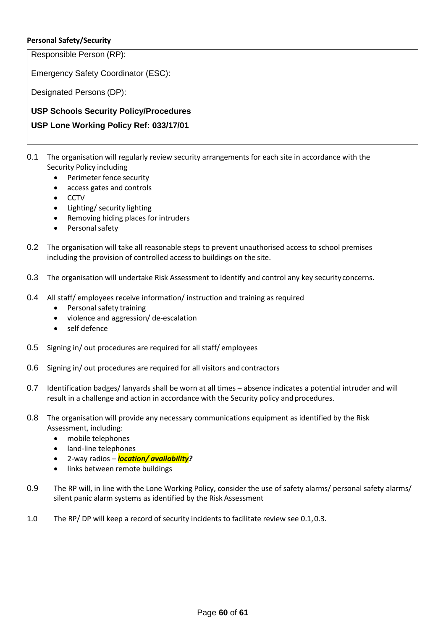#### **Personal Safety/Security**

Responsible Person (RP):

Emergency Safety Coordinator (ESC):

Designated Persons (DP):

**USP Schools Security Policy/Procedures** 

## **USP Lone Working Policy Ref: 033/17/01**

- 0.1 The organisation will regularly review security arrangements for each site in accordance with the Security Policy including
	- Perimeter fence security
	- access gates and controls
	- CCTV
	- Lighting/ security lighting
	- Removing hiding places for intruders
	- Personal safety
- 0.2 The organisation will take all reasonable steps to prevent unauthorised access to school premises including the provision of controlled access to buildings on the site.
- 0.3 The organisation will undertake Risk Assessment to identify and control any key security concerns.
- 0.4 All staff/ employees receive information/ instruction and training as required
	- Personal safety training
	- violence and aggression/ de-escalation
	- self defence
- 0.5 Signing in/ out procedures are required for all staff/ employees
- 0.6 Signing in/ out procedures are required for all visitors and contractors
- 0.7 Identification badges/ lanyards shall be worn at all times absence indicates a potential intruder and will result in a challenge and action in accordance with the Security policy and procedures.
- 0.8 The organisation will provide any necessary communications equipment as identified by the Risk Assessment, including:
	- mobile telephones
	- land-line telephones
	- 2-way radios *location/ availability?*
	- links between remote buildings
- 0.9 The RP will, in line with the Lone Working Policy, consider the use of safety alarms/ personal safety alarms/ silent panic alarm systems as identified by the Risk Assessment
- 1.0 The RP/ DP will keep a record of security incidents to facilitate review see 0.1,0.3.